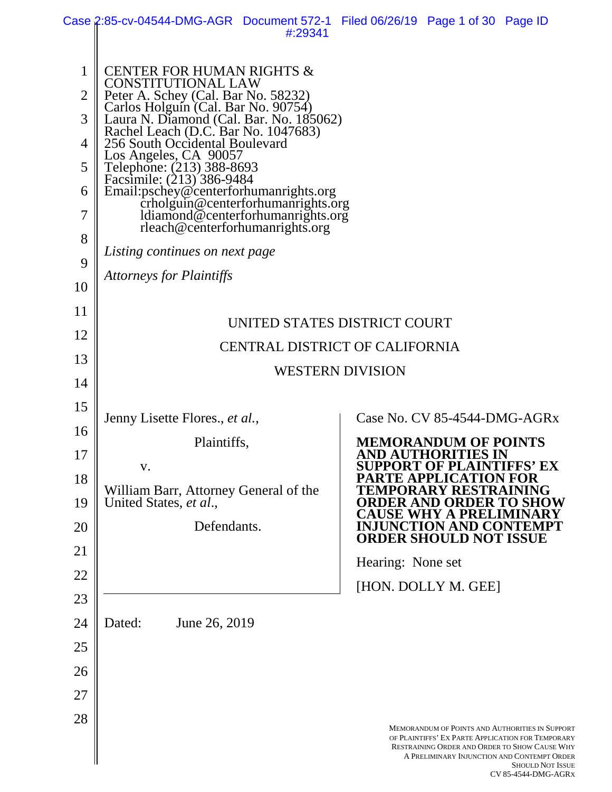|                | Case 2:85-cv-04544-DMG-AGR Document 572-1 Filed 06/26/19 Page 1 of 30 Page ID                                         |         |                                       |                                                                                                                                                                     |                         |
|----------------|-----------------------------------------------------------------------------------------------------------------------|---------|---------------------------------------|---------------------------------------------------------------------------------------------------------------------------------------------------------------------|-------------------------|
|                |                                                                                                                       | #:29341 |                                       |                                                                                                                                                                     |                         |
| 1              | <b>CENTER FOR HUMAN RIGHTS &amp;</b><br><b>CONSTITUTIONAL LAW</b>                                                     |         |                                       |                                                                                                                                                                     |                         |
| $\overline{2}$ | Peter A. Schey (Cal. Bar No. 58232)<br>Carlos Holguín (Cal. Bar No. 90754)<br>Laura N. Diamond (Cal. Bar. No. 185062) |         |                                       |                                                                                                                                                                     |                         |
| 3              | Rachel Leach (D.C. Bar No. 1047683)<br>256 South Occidental Boulevard                                                 |         |                                       |                                                                                                                                                                     |                         |
| $\overline{4}$ | Los Angeles, CA 90057                                                                                                 |         |                                       |                                                                                                                                                                     |                         |
| 5              | Telephone: (213) 388-8693<br>Facsimile: (213) 386-9484                                                                |         |                                       |                                                                                                                                                                     |                         |
| 6<br>7         | Email:pschey@centerforhumanrights.org<br>crholguin@centerforhumanrights.org<br>ldiamond@centerforhumanrights.org      |         |                                       |                                                                                                                                                                     |                         |
| 8              | rleach@centerforhumanrights.org                                                                                       |         |                                       |                                                                                                                                                                     |                         |
| 9              | Listing continues on next page                                                                                        |         |                                       |                                                                                                                                                                     |                         |
| 10             | <b>Attorneys for Plaintiffs</b>                                                                                       |         |                                       |                                                                                                                                                                     |                         |
| 11             |                                                                                                                       |         | UNITED STATES DISTRICT COURT          |                                                                                                                                                                     |                         |
| 12             |                                                                                                                       |         | <b>CENTRAL DISTRICT OF CALIFORNIA</b> |                                                                                                                                                                     |                         |
| 13             |                                                                                                                       |         | <b>WESTERN DIVISION</b>               |                                                                                                                                                                     |                         |
| 14             |                                                                                                                       |         |                                       |                                                                                                                                                                     |                         |
| 15             | Jenny Lisette Flores., et al.,                                                                                        |         |                                       | Case No. CV 85-4544-DMG-AGRx                                                                                                                                        |                         |
| 16             | Plaintiffs,                                                                                                           |         |                                       | <b>MEMORANDUM OF POINTS</b>                                                                                                                                         |                         |
| 17             | V.                                                                                                                    |         |                                       | <b>AND AUTHORITIES IN</b><br><b>SUPPORT OF PLAINTIFFS' EX</b>                                                                                                       |                         |
| 18             | William Barr, Attorney General of the                                                                                 |         | TEMPORARY REST                        | PARTE APPLICATION FOR                                                                                                                                               | NING                    |
| 19             | United States, et al.,                                                                                                |         |                                       |                                                                                                                                                                     |                         |
| 20             | Defendants.                                                                                                           |         |                                       | <b>ORDER SHOULD NOT ISSUE</b>                                                                                                                                       |                         |
| 21             |                                                                                                                       |         | Hearing: None set                     |                                                                                                                                                                     |                         |
| 22             |                                                                                                                       |         |                                       | [HON. DOLLY M. GEE]                                                                                                                                                 |                         |
| 23<br>24       | Dated:<br>June 26, 2019                                                                                               |         |                                       |                                                                                                                                                                     |                         |
| 25             |                                                                                                                       |         |                                       |                                                                                                                                                                     |                         |
| 26             |                                                                                                                       |         |                                       |                                                                                                                                                                     |                         |
| 27             |                                                                                                                       |         |                                       |                                                                                                                                                                     |                         |
| 28             |                                                                                                                       |         |                                       | <b>MEMORANDUM OF POINTS AND AUTHORITIES IN SUPPORT</b><br>OF PLAINTIFFS' EX PARTE APPLICATION FOR TEMPORARY<br><b>RESTRAINING ORDER AND ORDER TO SHOW CAUSE WHY</b> |                         |
|                |                                                                                                                       |         |                                       | A PRELIMINARY INJUNCTION AND CONTEMPT ORDER                                                                                                                         | <b>SHOULD NOT ISSUE</b> |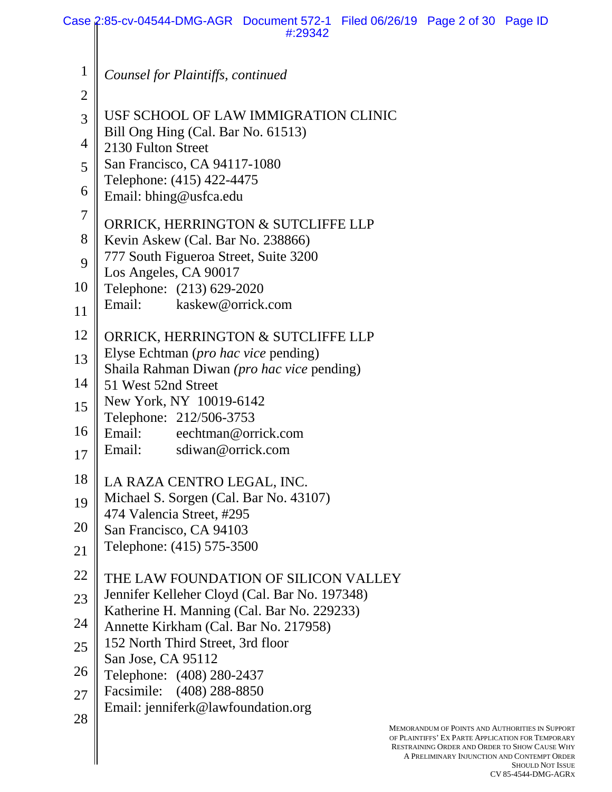|                | Case 2:85-cv-04544-DMG-AGR Document 572-1 Filed 06/26/19 Page 2 of 30 Page ID<br>#:29342                                                                                                                                                      |
|----------------|-----------------------------------------------------------------------------------------------------------------------------------------------------------------------------------------------------------------------------------------------|
|                |                                                                                                                                                                                                                                               |
| $\mathbf{1}$   | Counsel for Plaintiffs, continued                                                                                                                                                                                                             |
| $\overline{2}$ |                                                                                                                                                                                                                                               |
| 3              | USF SCHOOL OF LAW IMMIGRATION CLINIC                                                                                                                                                                                                          |
|                | Bill Ong Hing (Cal. Bar No. 61513)                                                                                                                                                                                                            |
| $\overline{4}$ | 2130 Fulton Street                                                                                                                                                                                                                            |
| 5              | San Francisco, CA 94117-1080<br>Telephone: (415) 422-4475                                                                                                                                                                                     |
| 6              | Email: bhing@usfca.edu                                                                                                                                                                                                                        |
| $\tau$         |                                                                                                                                                                                                                                               |
| 8              | ORRICK, HERRINGTON & SUTCLIFFE LLP                                                                                                                                                                                                            |
|                | Kevin Askew (Cal. Bar No. 238866)<br>777 South Figueroa Street, Suite 3200                                                                                                                                                                    |
| 9              | Los Angeles, CA 90017                                                                                                                                                                                                                         |
| 10             | Telephone: (213) 629-2020                                                                                                                                                                                                                     |
| 11             | kaskew@orrick.com<br>Email:                                                                                                                                                                                                                   |
| 12             | ORRICK, HERRINGTON & SUTCLIFFE LLP                                                                                                                                                                                                            |
| 13             | Elyse Echtman ( <i>pro hac vice</i> pending)                                                                                                                                                                                                  |
|                | Shaila Rahman Diwan (pro hac vice pending)                                                                                                                                                                                                    |
| 14             | 51 West 52nd Street                                                                                                                                                                                                                           |
| 15             | New York, NY 10019-6142<br>Telephone: 212/506-3753                                                                                                                                                                                            |
| 16             | Email: eechtman@orrick.com                                                                                                                                                                                                                    |
| 17             | Email:<br>sdiwan@orrick.com                                                                                                                                                                                                                   |
|                |                                                                                                                                                                                                                                               |
| 18             | LA RAZA CENTRO LEGAL, INC.                                                                                                                                                                                                                    |
| 19             | Michael S. Sorgen (Cal. Bar No. 43107)<br>474 Valencia Street, #295                                                                                                                                                                           |
| 20             | San Francisco, CA 94103                                                                                                                                                                                                                       |
| 21             | Telephone: (415) 575-3500                                                                                                                                                                                                                     |
| 22             | THE LAW FOUNDATION OF SILICON VALLEY                                                                                                                                                                                                          |
| 23             | Jennifer Kelleher Cloyd (Cal. Bar No. 197348)                                                                                                                                                                                                 |
| 24             | Katherine H. Manning (Cal. Bar No. 229233)                                                                                                                                                                                                    |
|                | Annette Kirkham (Cal. Bar No. 217958)<br>152 North Third Street, 3rd floor                                                                                                                                                                    |
| 25             | San Jose, CA 95112                                                                                                                                                                                                                            |
| 26             | Telephone: (408) 280-2437                                                                                                                                                                                                                     |
| 27             | Facsimile: (408) 288-8850                                                                                                                                                                                                                     |
| 28             | Email: jenniferk@lawfoundation.org                                                                                                                                                                                                            |
|                | <b>MEMORANDUM OF POINTS AND AUTHORITIES IN SUPPORT</b><br>OF PLAINTIFFS' EX PARTE APPLICATION FOR TEMPORARY<br><b>RESTRAINING ORDER AND ORDER TO SHOW CAUSE WHY</b><br>A PRELIMINARY INJUNCTION AND CONTEMPT ORDER<br><b>SHOULD NOT JESUE</b> |

SHOULD NOT ISSUE CV 85-4544-DMG-AGRX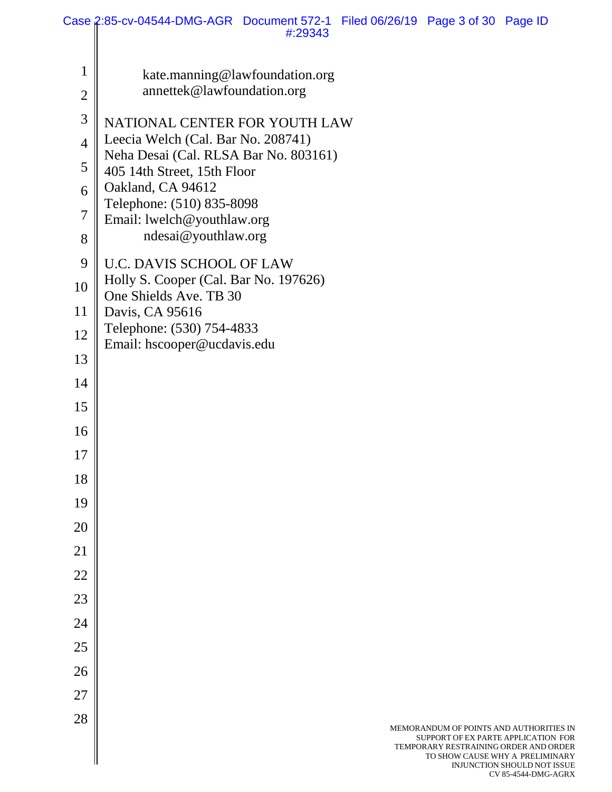|                | Case 2:85-cv-04544-DMG-AGR Document 572-1 Filed 06/26/19 Page 3 of 30 Page ID<br>#:29343 |  |                                                                                                                         |                                                                |
|----------------|------------------------------------------------------------------------------------------|--|-------------------------------------------------------------------------------------------------------------------------|----------------------------------------------------------------|
|                |                                                                                          |  |                                                                                                                         |                                                                |
| $\mathbf 1$    | kate.manning@lawfoundation.org<br>annettek@lawfoundation.org                             |  |                                                                                                                         |                                                                |
| $\mathbf{2}$   |                                                                                          |  |                                                                                                                         |                                                                |
| 3              | NATIONAL CENTER FOR YOUTH LAW<br>Leecia Welch (Cal. Bar No. 208741)                      |  |                                                                                                                         |                                                                |
| $\overline{4}$ | Neha Desai (Cal. RLSA Bar No. 803161)                                                    |  |                                                                                                                         |                                                                |
| 5<br>6         | 405 14th Street, 15th Floor<br>Oakland, CA 94612                                         |  |                                                                                                                         |                                                                |
| $\tau$         | Telephone: (510) 835-8098                                                                |  |                                                                                                                         |                                                                |
| 8              | Email: lwelch@youthlaw.org<br>ndesai@youthlaw.org                                        |  |                                                                                                                         |                                                                |
| 9              | <b>U.C. DAVIS SCHOOL OF LAW</b>                                                          |  |                                                                                                                         |                                                                |
| 10             | Holly S. Cooper (Cal. Bar No. 197626)                                                    |  |                                                                                                                         |                                                                |
| 11             | One Shields Ave. TB 30<br>Davis, CA 95616                                                |  |                                                                                                                         |                                                                |
| 12             | Telephone: (530) 754-4833                                                                |  |                                                                                                                         |                                                                |
| 13             | Email: hscooper@ucdavis.edu                                                              |  |                                                                                                                         |                                                                |
| 14             |                                                                                          |  |                                                                                                                         |                                                                |
| 15             |                                                                                          |  |                                                                                                                         |                                                                |
| 16             |                                                                                          |  |                                                                                                                         |                                                                |
| 17             |                                                                                          |  |                                                                                                                         |                                                                |
| 18             |                                                                                          |  |                                                                                                                         |                                                                |
| 19             |                                                                                          |  |                                                                                                                         |                                                                |
| 20             |                                                                                          |  |                                                                                                                         |                                                                |
| 21             |                                                                                          |  |                                                                                                                         |                                                                |
| 22             |                                                                                          |  |                                                                                                                         |                                                                |
| 23             |                                                                                          |  |                                                                                                                         |                                                                |
| 24             |                                                                                          |  |                                                                                                                         |                                                                |
| 25             |                                                                                          |  |                                                                                                                         |                                                                |
| 26             |                                                                                          |  |                                                                                                                         |                                                                |
| 27             |                                                                                          |  |                                                                                                                         |                                                                |
| 28             |                                                                                          |  | MEMORANDUM OF POINTS AND AUTHORITIES IN<br>SUPPORT OF EX PARTE APPLICATION FOR<br>TEMPORARY RESTRAINING ORDER AND ORDER | TO SHOW CAUSE WHY A PRELIMINARY<br>INJUNCTION SHOULD NOT ISSUE |

CV 85-4544-DMG-AGRX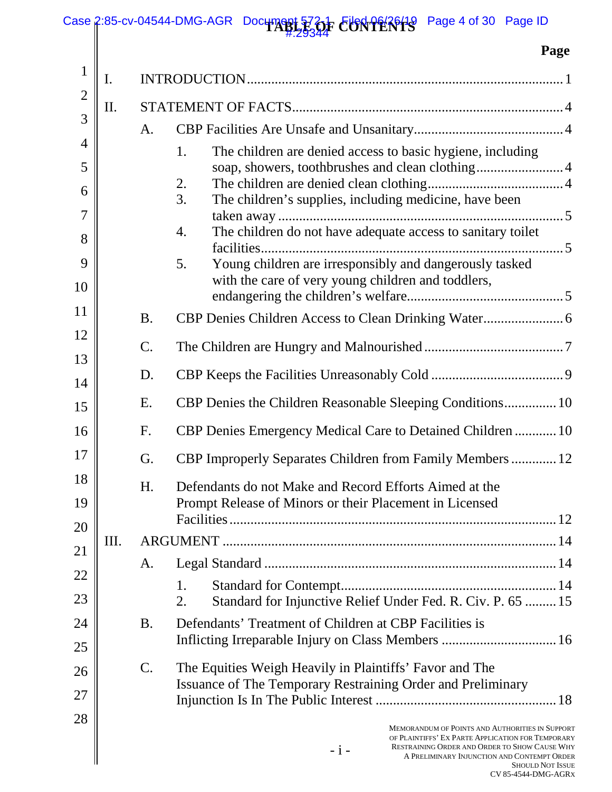#### Case 2:85-cv-04544-DMG-AGR Document 5730 F CUNTERTS Page 4 of 30 Page ID #:29344

 $\parallel$ 

# **Page**

|                |    |                 | 1 agu                                                                                                                                                                                                                                           |
|----------------|----|-----------------|-------------------------------------------------------------------------------------------------------------------------------------------------------------------------------------------------------------------------------------------------|
| $\mathbf{1}$   | I. |                 |                                                                                                                                                                                                                                                 |
| $\overline{2}$ | Π. |                 |                                                                                                                                                                                                                                                 |
| 3              |    | A.              |                                                                                                                                                                                                                                                 |
| $\overline{4}$ |    |                 | The children are denied access to basic hygiene, including<br>1.                                                                                                                                                                                |
| 5              |    |                 | soap, showers, toothbrushes and clean clothing 4                                                                                                                                                                                                |
| 6              |    |                 | 2.<br>The children's supplies, including medicine, have been<br>3.                                                                                                                                                                              |
| 7              |    |                 |                                                                                                                                                                                                                                                 |
| 8              |    |                 | The children do not have adequate access to sanitary toilet<br>4.                                                                                                                                                                               |
| 9              |    |                 | Young children are irresponsibly and dangerously tasked<br>5.                                                                                                                                                                                   |
| 10             |    |                 | with the care of very young children and toddlers,                                                                                                                                                                                              |
| 11             |    | <b>B.</b>       |                                                                                                                                                                                                                                                 |
| 12             |    | $\mathcal{C}$ . |                                                                                                                                                                                                                                                 |
| 13             |    | D.              |                                                                                                                                                                                                                                                 |
| 14             |    |                 |                                                                                                                                                                                                                                                 |
| 15             |    | Ε.              | CBP Denies the Children Reasonable Sleeping Conditions 10                                                                                                                                                                                       |
| 16             |    | F.              | CBP Denies Emergency Medical Care to Detained Children  10                                                                                                                                                                                      |
| 17             |    | G.              | CBP Improperly Separates Children from Family Members  12                                                                                                                                                                                       |
| 18             |    | H.              | Defendants do not Make and Record Efforts Aimed at the                                                                                                                                                                                          |
| 19             |    |                 | Prompt Release of Minors or their Placement in Licensed                                                                                                                                                                                         |
| 20             |    |                 |                                                                                                                                                                                                                                                 |
| 21             | Ш. |                 |                                                                                                                                                                                                                                                 |
| 22             |    | A.              |                                                                                                                                                                                                                                                 |
| 23             |    |                 | 1.<br>Standard for Injunctive Relief Under Fed. R. Civ. P. 65  15<br>2.                                                                                                                                                                         |
| 24             |    | <b>B.</b>       | Defendants' Treatment of Children at CBP Facilities is                                                                                                                                                                                          |
| 25             |    |                 |                                                                                                                                                                                                                                                 |
| 26             |    | $\mathbf{C}$ .  | The Equities Weigh Heavily in Plaintiffs' Favor and The                                                                                                                                                                                         |
| 27             |    |                 | Issuance of The Temporary Restraining Order and Preliminary                                                                                                                                                                                     |
| 28             |    |                 |                                                                                                                                                                                                                                                 |
|                |    |                 | MEMORANDUM OF POINTS AND AUTHORITIES IN SUPPORT<br>OF PLAINTIFFS' EX PARTE APPLICATION FOR TEMPORARY<br><b>RESTRAINING ORDER AND ORDER TO SHOW CAUSE WHY</b><br>$-i-$<br>A PRELIMINARY INJUNCTION AND CONTEMPT ORDER<br><b>SHOULD NOT ISSUE</b> |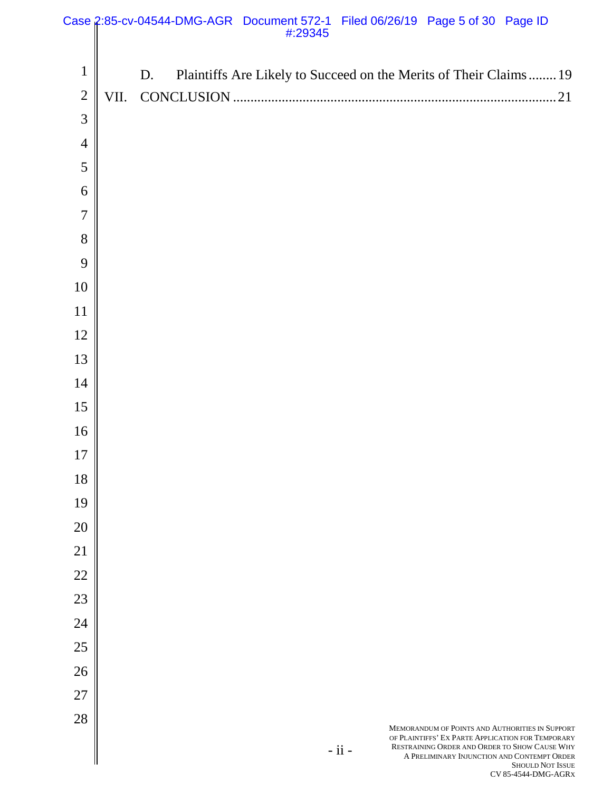|                |      |    | Case 2:85-cv-04544-DMG-AGR Document 572-1 Filed 06/26/19 Page 5 of 30 Page ID<br>#29345:# |                              |                                                                                                                                                                                                      |                         |
|----------------|------|----|-------------------------------------------------------------------------------------------|------------------------------|------------------------------------------------------------------------------------------------------------------------------------------------------------------------------------------------------|-------------------------|
|                |      |    |                                                                                           |                              |                                                                                                                                                                                                      |                         |
| $\mathbf{1}$   |      | D. | Plaintiffs Are Likely to Succeed on the Merits of Their Claims  19                        |                              |                                                                                                                                                                                                      |                         |
| $\overline{2}$ | VII. |    |                                                                                           |                              |                                                                                                                                                                                                      |                         |
| 3              |      |    |                                                                                           |                              |                                                                                                                                                                                                      |                         |
| $\overline{4}$ |      |    |                                                                                           |                              |                                                                                                                                                                                                      |                         |
| 5              |      |    |                                                                                           |                              |                                                                                                                                                                                                      |                         |
| 6              |      |    |                                                                                           |                              |                                                                                                                                                                                                      |                         |
| $\overline{7}$ |      |    |                                                                                           |                              |                                                                                                                                                                                                      |                         |
| 8              |      |    |                                                                                           |                              |                                                                                                                                                                                                      |                         |
| 9              |      |    |                                                                                           |                              |                                                                                                                                                                                                      |                         |
| 10             |      |    |                                                                                           |                              |                                                                                                                                                                                                      |                         |
| 11             |      |    |                                                                                           |                              |                                                                                                                                                                                                      |                         |
| 12             |      |    |                                                                                           |                              |                                                                                                                                                                                                      |                         |
| 13             |      |    |                                                                                           |                              |                                                                                                                                                                                                      |                         |
| 14             |      |    |                                                                                           |                              |                                                                                                                                                                                                      |                         |
| 15             |      |    |                                                                                           |                              |                                                                                                                                                                                                      |                         |
| 16             |      |    |                                                                                           |                              |                                                                                                                                                                                                      |                         |
| 17             |      |    |                                                                                           |                              |                                                                                                                                                                                                      |                         |
| 18             |      |    |                                                                                           |                              |                                                                                                                                                                                                      |                         |
| 19             |      |    |                                                                                           |                              |                                                                                                                                                                                                      |                         |
| 20             |      |    |                                                                                           |                              |                                                                                                                                                                                                      |                         |
| 21             |      |    |                                                                                           |                              |                                                                                                                                                                                                      |                         |
| $22\,$         |      |    |                                                                                           |                              |                                                                                                                                                                                                      |                         |
| 23             |      |    |                                                                                           |                              |                                                                                                                                                                                                      |                         |
| 24             |      |    |                                                                                           |                              |                                                                                                                                                                                                      |                         |
| 25             |      |    |                                                                                           |                              |                                                                                                                                                                                                      |                         |
| 26             |      |    |                                                                                           |                              |                                                                                                                                                                                                      |                         |
| $27\,$         |      |    |                                                                                           |                              |                                                                                                                                                                                                      |                         |
| 28             |      |    |                                                                                           |                              |                                                                                                                                                                                                      |                         |
|                |      |    |                                                                                           | $\textbf{-}$ ii $\textbf{-}$ | MEMORANDUM OF POINTS AND AUTHORITIES IN SUPPORT<br>OF PLAINTIFFS' EX PARTE APPLICATION FOR TEMPORARY<br>RESTRAINING ORDER AND ORDER TO SHOW CAUSE WHY<br>A PRELIMINARY INJUNCTION AND CONTEMPT ORDER | <b>SHOULD NOT ISSUE</b> |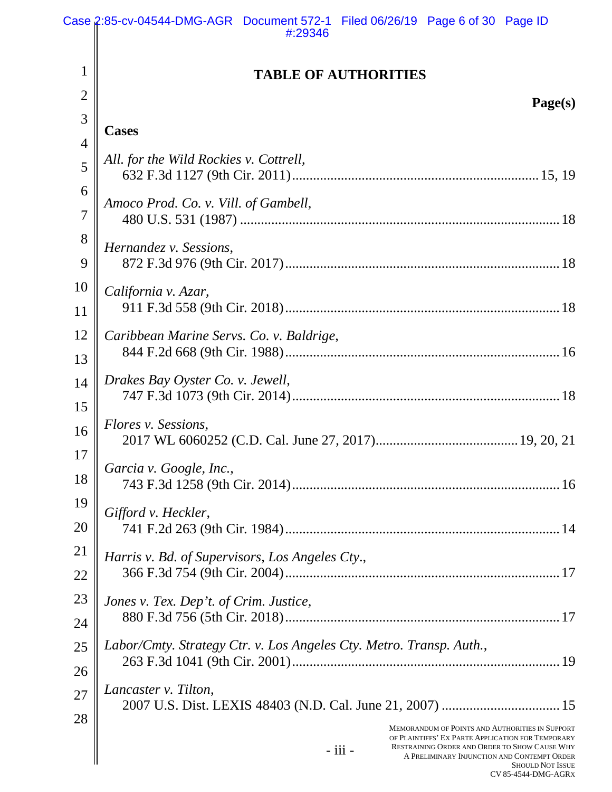|                | Case 2:85-cv-04544-DMG-AGR Document 572-1 Filed 06/26/19 Page 6 of 30 Page ID<br>#:29346                                                                                                    |
|----------------|---------------------------------------------------------------------------------------------------------------------------------------------------------------------------------------------|
| $\mathbf{1}$   | <b>TABLE OF AUTHORITIES</b>                                                                                                                                                                 |
| $\overline{2}$ | Page(s)                                                                                                                                                                                     |
| 3              | <b>Cases</b>                                                                                                                                                                                |
| $\overline{4}$ |                                                                                                                                                                                             |
| 5              | All. for the Wild Rockies v. Cottrell,                                                                                                                                                      |
| 6              | Amoco Prod. Co. v. Vill. of Gambell,                                                                                                                                                        |
| $\overline{7}$ |                                                                                                                                                                                             |
| 8              | Hernandez v. Sessions,                                                                                                                                                                      |
| 9              |                                                                                                                                                                                             |
| 10             | California v. Azar,                                                                                                                                                                         |
| 11             |                                                                                                                                                                                             |
| 12             | Caribbean Marine Servs. Co. v. Baldrige,                                                                                                                                                    |
| 13             |                                                                                                                                                                                             |
| 14             | Drakes Bay Oyster Co. v. Jewell,                                                                                                                                                            |
| 15             |                                                                                                                                                                                             |
| 16             | Flores v. Sessions,                                                                                                                                                                         |
| 17             | Garcia v. Google, Inc.,                                                                                                                                                                     |
| 18             |                                                                                                                                                                                             |
| 19             | Gifford v. Heckler,                                                                                                                                                                         |
| 20             |                                                                                                                                                                                             |
| 21             | Harris v. Bd. of Supervisors, Los Angeles Cty.,                                                                                                                                             |
| 22             |                                                                                                                                                                                             |
| 23             | Jones v. Tex. Dep't. of Crim. Justice,                                                                                                                                                      |
| 24             |                                                                                                                                                                                             |
| 25             | Labor/Cmty. Strategy Ctr. v. Los Angeles Cty. Metro. Transp. Auth.,                                                                                                                         |
| 26             |                                                                                                                                                                                             |
| 27             | Lancaster v. Tilton,                                                                                                                                                                        |
| 28             | <b>MEMORANDUM OF POINTS AND AUTHORITIES IN SUPPORT</b>                                                                                                                                      |
|                | OF PLAINTIFFS' EX PARTE APPLICATION FOR TEMPORARY<br>RESTRAINING ORDER AND ORDER TO SHOW CAUSE WHY<br>$-$ iii $-$<br>A PRELIMINARY INJUNCTION AND CONTEMPT ORDER<br><b>SHOULD NOT ISSUE</b> |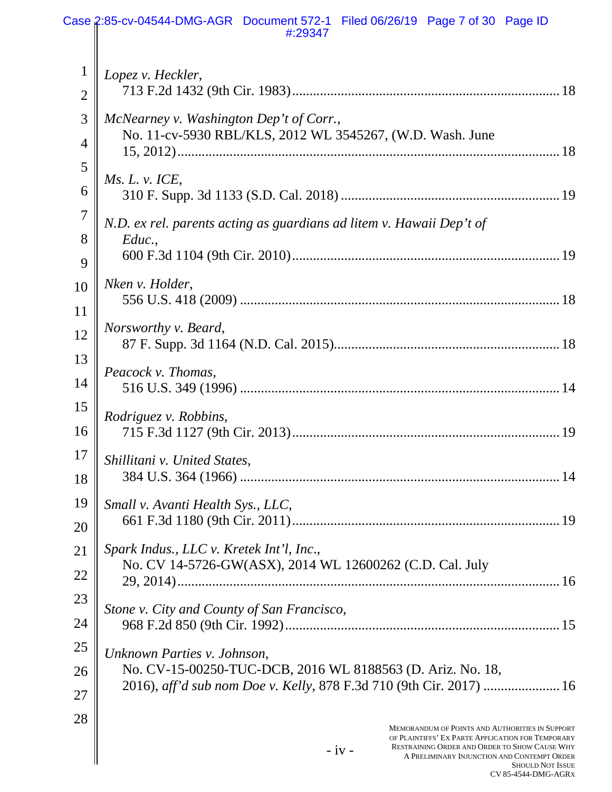|                | Case 2:85-cv-04544-DMG-AGR Document 572-1 Filed 06/26/19 Page 7 of 30 Page ID<br>#:29347                                                                                                 |
|----------------|------------------------------------------------------------------------------------------------------------------------------------------------------------------------------------------|
| $\mathbf{1}$   | Lopez v. Heckler,                                                                                                                                                                        |
| $\overline{2}$ |                                                                                                                                                                                          |
| 3              | McNearney v. Washington Dep't of Corr.,<br>No. 11-cv-5930 RBL/KLS, 2012 WL 3545267, (W.D. Wash. June                                                                                     |
| $\overline{4}$ |                                                                                                                                                                                          |
| 5              | Ms. L. v. ICE,                                                                                                                                                                           |
| 6              |                                                                                                                                                                                          |
| $\overline{7}$ | N.D. ex rel. parents acting as guardians ad litem v. Hawaii Dep't of                                                                                                                     |
| 8              | Educ.                                                                                                                                                                                    |
| 9<br>10        | Nken v. Holder,                                                                                                                                                                          |
| 11             |                                                                                                                                                                                          |
| 12             | Norsworthy v. Beard,                                                                                                                                                                     |
| 13             |                                                                                                                                                                                          |
| 14             | Peacock v. Thomas,                                                                                                                                                                       |
| 15             |                                                                                                                                                                                          |
| 16             | Rodriguez v. Robbins,                                                                                                                                                                    |
| 17             | Shillitani v. United States,                                                                                                                                                             |
| 18             |                                                                                                                                                                                          |
| 19             | Small v. Avanti Health Sys., LLC,                                                                                                                                                        |
| 20             |                                                                                                                                                                                          |
| 21             | Spark Indus., LLC v. Kretek Int'l, Inc.,                                                                                                                                                 |
| 22             | No. CV 14-5726-GW(ASX), 2014 WL 12600262 (C.D. Cal. July                                                                                                                                 |
| 23             | Stone v. City and County of San Francisco,                                                                                                                                               |
| 24             |                                                                                                                                                                                          |
| 25             | Unknown Parties v. Johnson,                                                                                                                                                              |
| 26             | No. CV-15-00250-TUC-DCB, 2016 WL 8188563 (D. Ariz. No. 18,                                                                                                                               |
| 27             | 2016), aff'd sub nom Doe v. Kelly, 878 F.3d 710 (9th Cir. 2017)  16                                                                                                                      |
| 28             | MEMORANDUM OF POINTS AND AUTHORITIES IN SUPPORT                                                                                                                                          |
|                | OF PLAINTIFFS' EX PARTE APPLICATION FOR TEMPORARY<br>RESTRAINING ORDER AND ORDER TO SHOW CAUSE WHY<br>$-iv -$<br>A PRELIMINARY INJUNCTION AND CONTEMPT ORDER<br><b>SHOLILD NOT ISSUE</b> |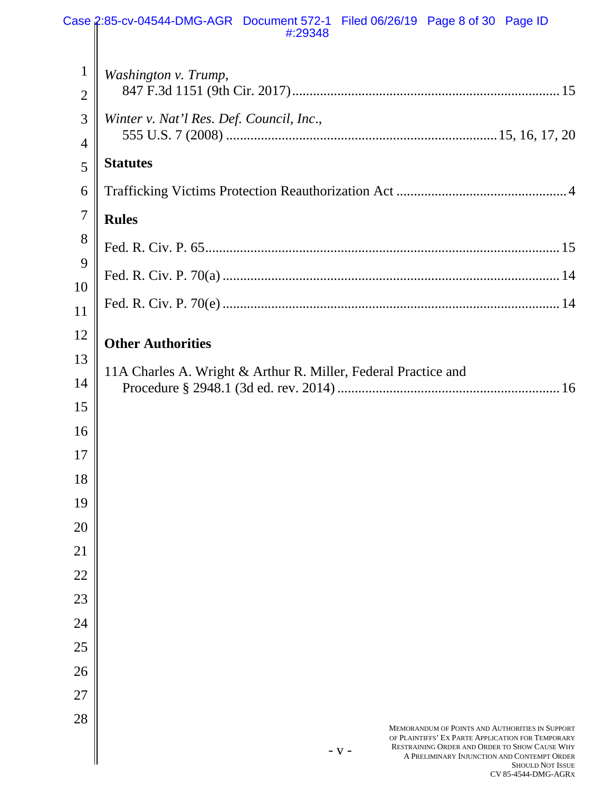|                | Case 2:85-cv-04544-DMG-AGR Document 572-1 Filed 06/26/19 Page 8 of 30 Page ID<br>#:29348                                                                                                |
|----------------|-----------------------------------------------------------------------------------------------------------------------------------------------------------------------------------------|
| $\mathbf{1}$   | Washington v. Trump,                                                                                                                                                                    |
| $\overline{2}$ |                                                                                                                                                                                         |
| 3              | Winter v. Nat'l Res. Def. Council, Inc.,                                                                                                                                                |
| 4              | <b>Statutes</b>                                                                                                                                                                         |
| 5              |                                                                                                                                                                                         |
| 6              |                                                                                                                                                                                         |
| $\overline{7}$ | <b>Rules</b>                                                                                                                                                                            |
| 8              |                                                                                                                                                                                         |
| 9              |                                                                                                                                                                                         |
| 10             |                                                                                                                                                                                         |
| 11             |                                                                                                                                                                                         |
| 12             | <b>Other Authorities</b>                                                                                                                                                                |
| 13             | 11A Charles A. Wright & Arthur R. Miller, Federal Practice and                                                                                                                          |
| 14             |                                                                                                                                                                                         |
| 15             |                                                                                                                                                                                         |
| 16             |                                                                                                                                                                                         |
| 17             |                                                                                                                                                                                         |
| 18             |                                                                                                                                                                                         |
| 19             |                                                                                                                                                                                         |
| 20             |                                                                                                                                                                                         |
| 21             |                                                                                                                                                                                         |
| 22             |                                                                                                                                                                                         |
| 23             |                                                                                                                                                                                         |
| 24             |                                                                                                                                                                                         |
| 25             |                                                                                                                                                                                         |
| 26             |                                                                                                                                                                                         |
| 27             |                                                                                                                                                                                         |
| 28             | <b>MEMORANDUM OF POINTS AND AUTHORITIES IN SUPPORT</b>                                                                                                                                  |
|                | OF PLAINTIFFS' EX PARTE APPLICATION FOR TEMPORARY<br>RESTRAINING ORDER AND ORDER TO SHOW CAUSE WHY<br>$- V -$<br>A PRELIMINARY INJUNCTION AND CONTEMPT ORDER<br><b>SHOULD NOT ISSUE</b> |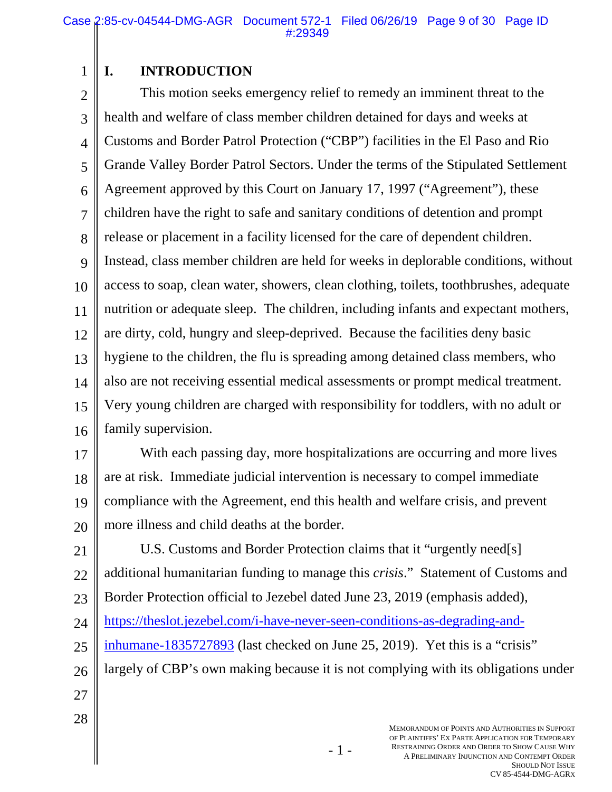## **I. INTRODUCTION**

1

2 3 4 5 6 7 8 9 10 11 12 13 14 15 16 This motion seeks emergency relief to remedy an imminent threat to the health and welfare of class member children detained for days and weeks at Customs and Border Patrol Protection ("CBP") facilities in the El Paso and Rio Grande Valley Border Patrol Sectors. Under the terms of the Stipulated Settlement Agreement approved by this Court on January 17, 1997 ("Agreement"), these children have the right to safe and sanitary conditions of detention and prompt release or placement in a facility licensed for the care of dependent children. Instead, class member children are held for weeks in deplorable conditions, without access to soap, clean water, showers, clean clothing, toilets, toothbrushes, adequate nutrition or adequate sleep. The children, including infants and expectant mothers, are dirty, cold, hungry and sleep-deprived. Because the facilities deny basic hygiene to the children, the flu is spreading among detained class members, who also are not receiving essential medical assessments or prompt medical treatment. Very young children are charged with responsibility for toddlers, with no adult or family supervision.

17 18 19 20 With each passing day, more hospitalizations are occurring and more lives are at risk. Immediate judicial intervention is necessary to compel immediate compliance with the Agreement, end this health and welfare crisis, and prevent more illness and child deaths at the border.

21 22 23 24 25 26 27 U.S. Customs and Border Protection claims that it "urgently need[s] additional humanitarian funding to manage this *crisis*." Statement of Customs and Border Protection official to Jezebel dated June 23, 2019 (emphasis added), https://theslot.jezebel.com/i-have-never-seen-conditions-as-degrading-andinhumane-1835727893 (last checked on June 25, 2019). Yet this is a "crisis" largely of CBP's own making because it is not complying with its obligations under

- 1 -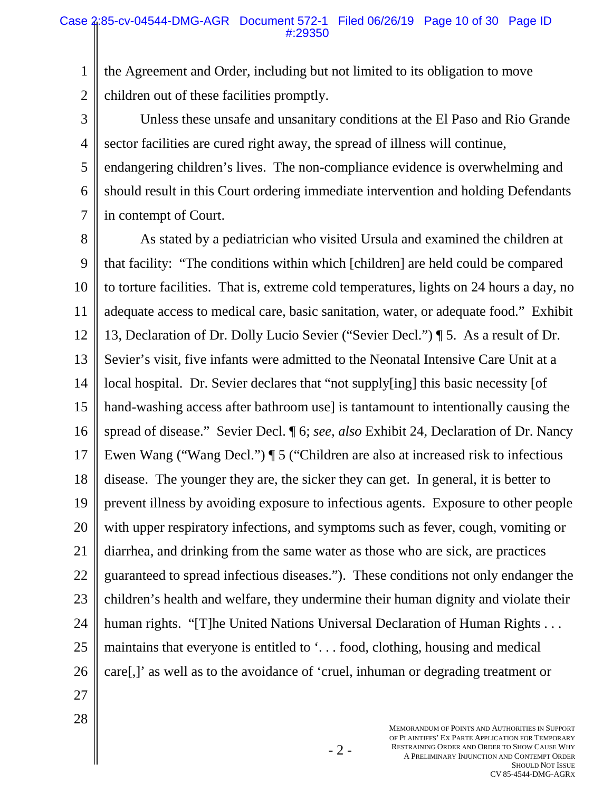1 2 the Agreement and Order, including but not limited to its obligation to move children out of these facilities promptly.

3 4 5 6 7 Unless these unsafe and unsanitary conditions at the El Paso and Rio Grande sector facilities are cured right away, the spread of illness will continue, endangering children's lives. The non-compliance evidence is overwhelming and should result in this Court ordering immediate intervention and holding Defendants in contempt of Court.

8 9 10 11 12 13 14 15 16 17 18 19 20 21 22 23 24 25 26 As stated by a pediatrician who visited Ursula and examined the children at that facility: "The conditions within which [children] are held could be compared to torture facilities. That is, extreme cold temperatures, lights on 24 hours a day, no adequate access to medical care, basic sanitation, water, or adequate food." Exhibit 13, Declaration of Dr. Dolly Lucio Sevier ("Sevier Decl.") ¶ 5. As a result of Dr. Sevier's visit, five infants were admitted to the Neonatal Intensive Care Unit at a local hospital. Dr. Sevier declares that "not supply[ing] this basic necessity [of hand-washing access after bathroom use is tantamount to intentionally causing the spread of disease." Sevier Decl. ¶ 6; *see, also* Exhibit 24, Declaration of Dr. Nancy Ewen Wang ("Wang Decl.") ¶ 5 ("Children are also at increased risk to infectious disease. The younger they are, the sicker they can get. In general, it is better to prevent illness by avoiding exposure to infectious agents. Exposure to other people with upper respiratory infections, and symptoms such as fever, cough, vomiting or diarrhea, and drinking from the same water as those who are sick, are practices guaranteed to spread infectious diseases."). These conditions not only endanger the children's health and welfare, they undermine their human dignity and violate their human rights. "[T]he United Nations Universal Declaration of Human Rights . . . maintains that everyone is entitled to '. . . food, clothing, housing and medical care[,]' as well as to the avoidance of 'cruel, inhuman or degrading treatment or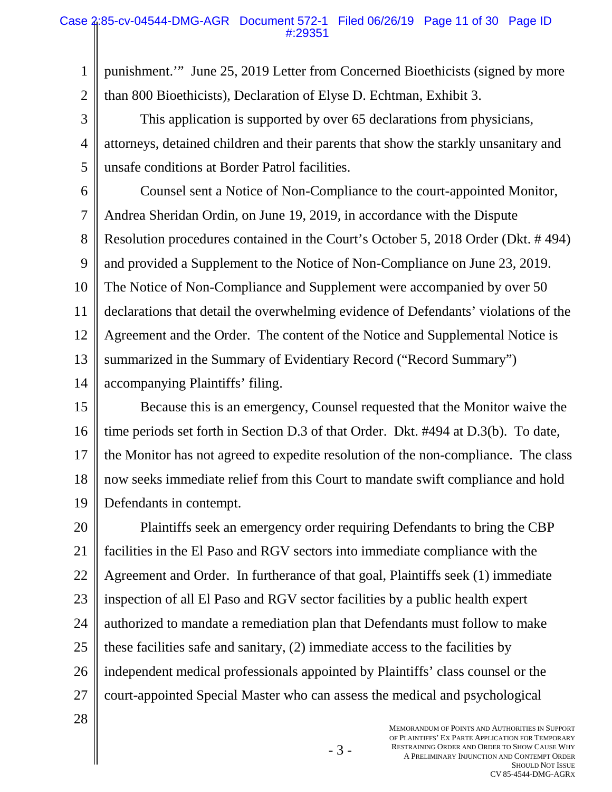#### Case 2:85-cv-04544-DMG-AGR Document 572-1 Filed 06/26/19 Page 11 of 30 Page ID #:29351

1 punishment.'" June 25, 2019 Letter from Concerned Bioethicists (signed by more

2 than 800 Bioethicists), Declaration of Elyse D. Echtman, Exhibit 3.

3 4 5 This application is supported by over 65 declarations from physicians, attorneys, detained children and their parents that show the starkly unsanitary and unsafe conditions at Border Patrol facilities.

6

7 8 9 10 11 12 13 14 Counsel sent a Notice of Non-Compliance to the court-appointed Monitor, Andrea Sheridan Ordin, on June 19, 2019, in accordance with the Dispute Resolution procedures contained in the Court's October 5, 2018 Order (Dkt. # 494) and provided a Supplement to the Notice of Non-Compliance on June 23, 2019. The Notice of Non-Compliance and Supplement were accompanied by over 50 declarations that detail the overwhelming evidence of Defendants' violations of the Agreement and the Order. The content of the Notice and Supplemental Notice is summarized in the Summary of Evidentiary Record ("Record Summary") accompanying Plaintiffs' filing.

15 16 17 18 19 Because this is an emergency, Counsel requested that the Monitor waive the time periods set forth in Section D.3 of that Order. Dkt. #494 at D.3(b). To date, the Monitor has not agreed to expedite resolution of the non-compliance. The class now seeks immediate relief from this Court to mandate swift compliance and hold Defendants in contempt.

20 21 22 23 24 25 26 27 Plaintiffs seek an emergency order requiring Defendants to bring the CBP facilities in the El Paso and RGV sectors into immediate compliance with the Agreement and Order. In furtherance of that goal, Plaintiffs seek (1) immediate inspection of all El Paso and RGV sector facilities by a public health expert authorized to mandate a remediation plan that Defendants must follow to make these facilities safe and sanitary, (2) immediate access to the facilities by independent medical professionals appointed by Plaintiffs' class counsel or the court-appointed Special Master who can assess the medical and psychological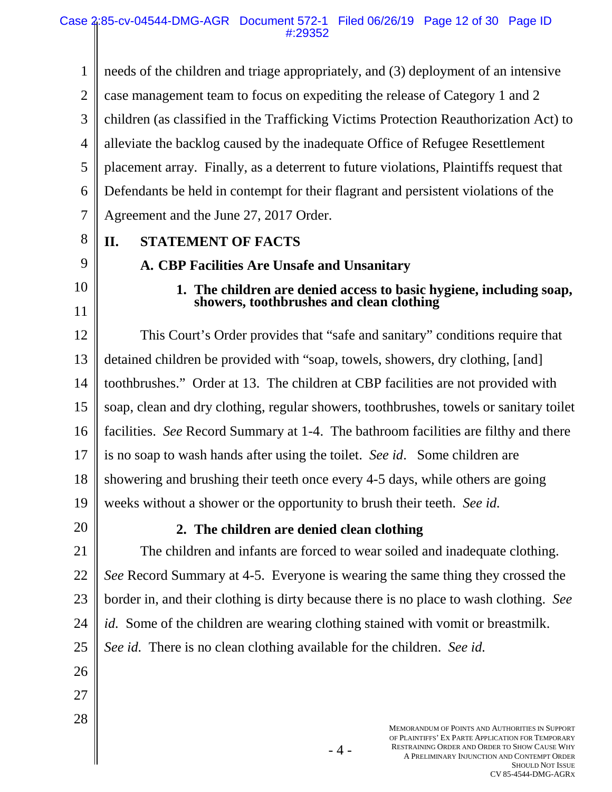MEMORANDUM OF POINTS AND AUTHORITIES IN SUPPORT OF PLAINTIFFS' EX PARTE APPLICATION FOR TEMPORARY RESTRAINING ORDER AND ORDER TO SHOW CAUSE WHY 1 2 3 4 5 6 7 8 9 10 11 12 13 14 15 16 17 18 19 20 21 22 23 24 25 26 27 28 needs of the children and triage appropriately, and (3) deployment of an intensive case management team to focus on expediting the release of Category 1 and 2 children (as classified in the Trafficking Victims Protection Reauthorization Act) to alleviate the backlog caused by the inadequate Office of Refugee Resettlement placement array. Finally, as a deterrent to future violations, Plaintiffs request that Defendants be held in contempt for their flagrant and persistent violations of the Agreement and the June 27, 2017 Order. **II. STATEMENT OF FACTS A. CBP Facilities Are Unsafe and Unsanitary 1. The children are denied access to basic hygiene, including soap, showers, toothbrushes and clean clothing**  This Court's Order provides that "safe and sanitary" conditions require that detained children be provided with "soap, towels, showers, dry clothing, [and] toothbrushes." Order at 13. The children at CBP facilities are not provided with soap, clean and dry clothing, regular showers, toothbrushes, towels or sanitary toilet facilities. *See* Record Summary at 1-4. The bathroom facilities are filthy and there is no soap to wash hands after using the toilet. *See id*. Some children are showering and brushing their teeth once every 4-5 days, while others are going weeks without a shower or the opportunity to brush their teeth. *See id.* **2. The children are denied clean clothing**  The children and infants are forced to wear soiled and inadequate clothing. *See* Record Summary at 4-5. Everyone is wearing the same thing they crossed the border in, and their clothing is dirty because there is no place to wash clothing. *See id.* Some of the children are wearing clothing stained with vomit or breastmilk. *See id.* There is no clean clothing available for the children. *See id.*

A PRELIMINARY INJUNCTION AND CONTEMPT ORDER

SHOULD NOT ISSUE CV 85-4544-DMG-AGRX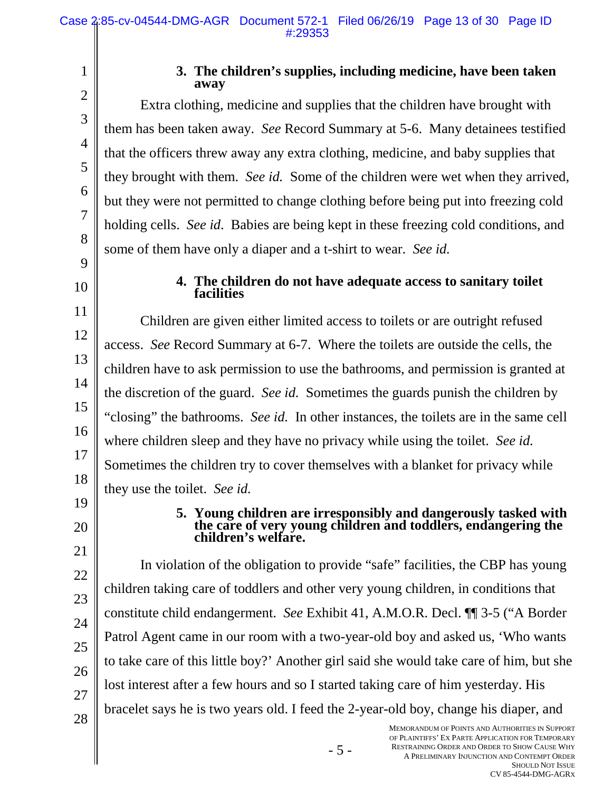2 3

4

5

6

7

8

9

10

11

12

13

14

15

16

17

18

1

### **3. The children's supplies, including medicine, have been taken away**

Extra clothing, medicine and supplies that the children have brought with them has been taken away. *See* Record Summary at 5-6. Many detainees testified that the officers threw away any extra clothing, medicine, and baby supplies that they brought with them. *See id.* Some of the children were wet when they arrived, but they were not permitted to change clothing before being put into freezing cold holding cells. *See id*. Babies are being kept in these freezing cold conditions, and some of them have only a diaper and a t-shirt to wear. *See id.*

## **4. The children do not have adequate access to sanitary toilet facilities**

Children are given either limited access to toilets or are outright refused access. *See* Record Summary at 6-7. Where the toilets are outside the cells, the children have to ask permission to use the bathrooms, and permission is granted at the discretion of the guard. *See id.* Sometimes the guards punish the children by "closing" the bathrooms. *See id.* In other instances, the toilets are in the same cell where children sleep and they have no privacy while using the toilet. *See id.* Sometimes the children try to cover themselves with a blanket for privacy while they use the toilet. *See id.*

19 20

21

22

23

24

25

26

27

28

### **5. Young children are irresponsibly and dangerously tasked with the care of very young children and toddlers, endangering the children's welfare.**

In violation of the obligation to provide "safe" facilities, the CBP has young children taking care of toddlers and other very young children, in conditions that constitute child endangerment. *See* Exhibit 41, A.M.O.R. Decl. ¶¶ 3-5 ("A Border Patrol Agent came in our room with a two-year-old boy and asked us, 'Who wants to take care of this little boy?' Another girl said she would take care of him, but she lost interest after a few hours and so I started taking care of him yesterday. His bracelet says he is two years old. I feed the 2-year-old boy, change his diaper, and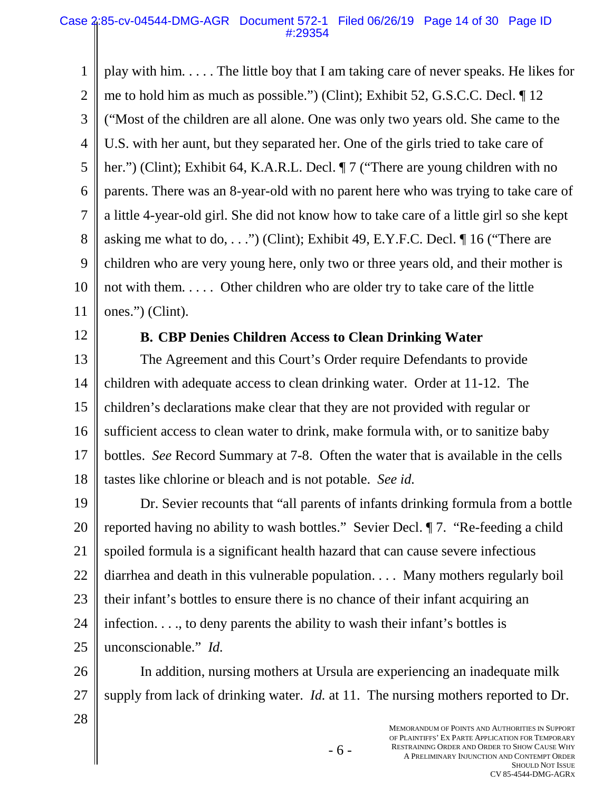1 2 3 4 5 6 7 8 9 10 11 play with him. . . . . The little boy that I am taking care of never speaks. He likes for me to hold him as much as possible.") (Clint); Exhibit 52, G.S.C.C. Decl. ¶ 12 ("Most of the children are all alone. One was only two years old. She came to the U.S. with her aunt, but they separated her. One of the girls tried to take care of her.") (Clint); Exhibit 64, K.A.R.L. Decl.  $\P$  7 ("There are young children with no parents. There was an 8-year-old with no parent here who was trying to take care of a little 4-year-old girl. She did not know how to take care of a little girl so she kept asking me what to do, . . .") (Clint); Exhibit 49, E.Y.F.C. Decl.  $\P$  16 ("There are children who are very young here, only two or three years old, and their mother is not with them. . . . . Other children who are older try to take care of the little ones.") (Clint).

12

## **B. CBP Denies Children Access to Clean Drinking Water**

13 14 15 16 17 18 The Agreement and this Court's Order require Defendants to provide children with adequate access to clean drinking water. Order at 11-12. The children's declarations make clear that they are not provided with regular or sufficient access to clean water to drink, make formula with, or to sanitize baby bottles. *See* Record Summary at 7-8. Often the water that is available in the cells tastes like chlorine or bleach and is not potable. *See id.*

19 20 21 22 23 24 25 Dr. Sevier recounts that "all parents of infants drinking formula from a bottle reported having no ability to wash bottles." Sevier Decl. ¶ 7. "Re-feeding a child spoiled formula is a significant health hazard that can cause severe infectious diarrhea and death in this vulnerable population. . . . Many mothers regularly boil their infant's bottles to ensure there is no chance of their infant acquiring an infection. . . ., to deny parents the ability to wash their infant's bottles is unconscionable." *Id.*

26 27 In addition, nursing mothers at Ursula are experiencing an inadequate milk supply from lack of drinking water. *Id.* at 11. The nursing mothers reported to Dr.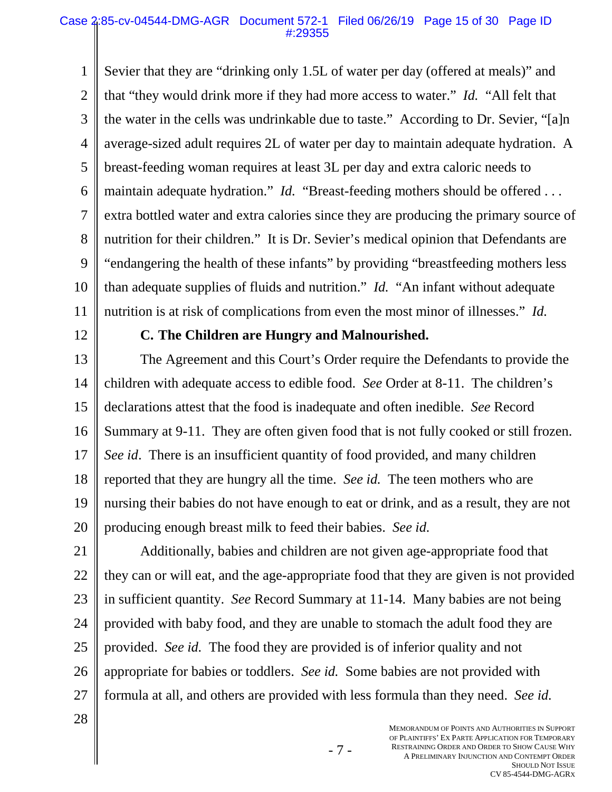1 2 3 4 5 6 7 8 9 10 11 Sevier that they are "drinking only 1.5L of water per day (offered at meals)" and that "they would drink more if they had more access to water." *Id.* "All felt that the water in the cells was undrinkable due to taste." According to Dr. Sevier, "[a]n average-sized adult requires 2L of water per day to maintain adequate hydration. A breast-feeding woman requires at least 3L per day and extra caloric needs to maintain adequate hydration." *Id.* "Breast-feeding mothers should be offered . . . extra bottled water and extra calories since they are producing the primary source of nutrition for their children." It is Dr. Sevier's medical opinion that Defendants are "endangering the health of these infants" by providing "breastfeeding mothers less than adequate supplies of fluids and nutrition." *Id.* "An infant without adequate nutrition is at risk of complications from even the most minor of illnesses." *Id.*

12

## **C. The Children are Hungry and Malnourished.**

13 14 15 16 17 18 19 20 The Agreement and this Court's Order require the Defendants to provide the children with adequate access to edible food. *See* Order at 8-11. The children's declarations attest that the food is inadequate and often inedible. *See* Record Summary at 9-11. They are often given food that is not fully cooked or still frozen. *See id*. There is an insufficient quantity of food provided, and many children reported that they are hungry all the time. *See id.* The teen mothers who are nursing their babies do not have enough to eat or drink, and as a result, they are not producing enough breast milk to feed their babies. *See id.*

21 22 23 24 25 26 27 Additionally, babies and children are not given age-appropriate food that they can or will eat, and the age-appropriate food that they are given is not provided in sufficient quantity. *See* Record Summary at 11-14. Many babies are not being provided with baby food, and they are unable to stomach the adult food they are provided. *See id.* The food they are provided is of inferior quality and not appropriate for babies or toddlers. *See id.* Some babies are not provided with formula at all, and others are provided with less formula than they need. *See id.*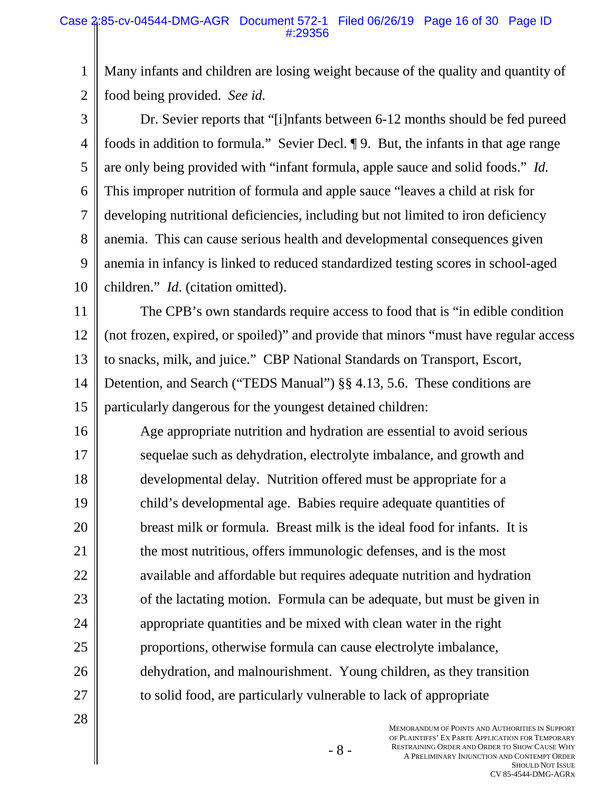1 2 Many infants and children are losing weight because of the quality and quantity of food being provided. *See id.*

3 4 5 6 7 8 9 10 Dr. Sevier reports that "[i]nfants between 6-12 months should be fed pureed foods in addition to formula." Sevier Decl. ¶ 9. But, the infants in that age range are only being provided with "infant formula, apple sauce and solid foods." *Id.* This improper nutrition of formula and apple sauce "leaves a child at risk for developing nutritional deficiencies, including but not limited to iron deficiency anemia. This can cause serious health and developmental consequences given anemia in infancy is linked to reduced standardized testing scores in school-aged children." *Id*. (citation omitted).

11 12 13 14 15 The CPB's own standards require access to food that is "in edible condition (not frozen, expired, or spoiled)" and provide that minors "must have regular access to snacks, milk, and juice." CBP National Standards on Transport, Escort, Detention, and Search ("TEDS Manual") §§ 4.13, 5.6. These conditions are particularly dangerous for the youngest detained children:

16 17 18 19 20 21 22 23 24 25 26 27 Age appropriate nutrition and hydration are essential to avoid serious sequelae such as dehydration, electrolyte imbalance, and growth and developmental delay. Nutrition offered must be appropriate for a child's developmental age. Babies require adequate quantities of breast milk or formula. Breast milk is the ideal food for infants. It is the most nutritious, offers immunologic defenses, and is the most available and affordable but requires adequate nutrition and hydration of the lactating motion. Formula can be adequate, but must be given in appropriate quantities and be mixed with clean water in the right proportions, otherwise formula can cause electrolyte imbalance, dehydration, and malnourishment. Young children, as they transition to solid food, are particularly vulnerable to lack of appropriate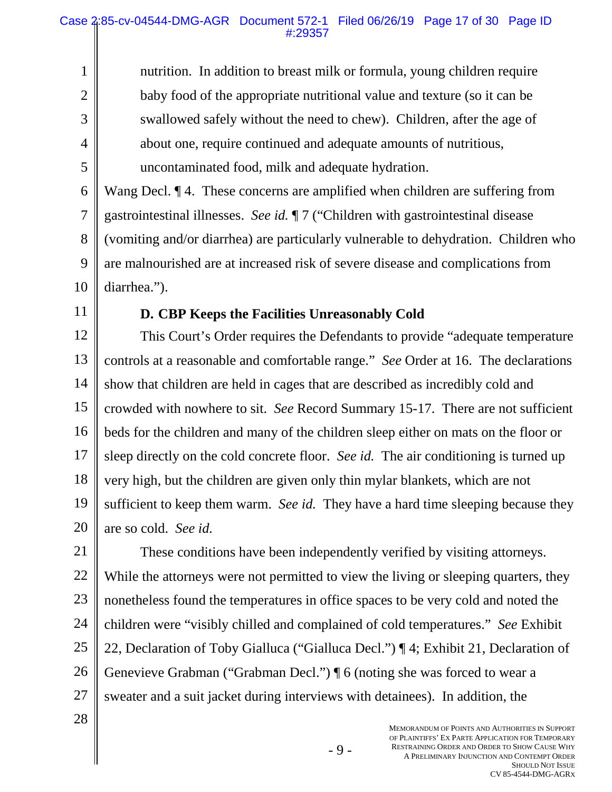nutrition. In addition to breast milk or formula, young children require baby food of the appropriate nutritional value and texture (so it can be swallowed safely without the need to chew). Children, after the age of about one, require continued and adequate amounts of nutritious, uncontaminated food, milk and adequate hydration.

6 7 8 9 10 Wang Decl. ¶ 4. These concerns are amplified when children are suffering from gastrointestinal illnesses. *See id.* ¶ 7 ("Children with gastrointestinal disease (vomiting and/or diarrhea) are particularly vulnerable to dehydration. Children who are malnourished are at increased risk of severe disease and complications from diarrhea.").

11

1

2

3

4

5

## **D. CBP Keeps the Facilities Unreasonably Cold**

12 13 14 15 16 17 18 19 20 This Court's Order requires the Defendants to provide "adequate temperature controls at a reasonable and comfortable range." *See* Order at 16. The declarations show that children are held in cages that are described as incredibly cold and crowded with nowhere to sit. *See* Record Summary 15-17. There are not sufficient beds for the children and many of the children sleep either on mats on the floor or sleep directly on the cold concrete floor. *See id.* The air conditioning is turned up very high, but the children are given only thin mylar blankets, which are not sufficient to keep them warm. *See id.* They have a hard time sleeping because they are so cold. *See id.*

21 22 23 24 25 26 27 These conditions have been independently verified by visiting attorneys. While the attorneys were not permitted to view the living or sleeping quarters, they nonetheless found the temperatures in office spaces to be very cold and noted the children were "visibly chilled and complained of cold temperatures." *See* Exhibit 22, Declaration of Toby Gialluca ("Gialluca Decl.") ¶ 4; Exhibit 21, Declaration of Genevieve Grabman ("Grabman Decl.") ¶ 6 (noting she was forced to wear a sweater and a suit jacket during interviews with detainees). In addition, the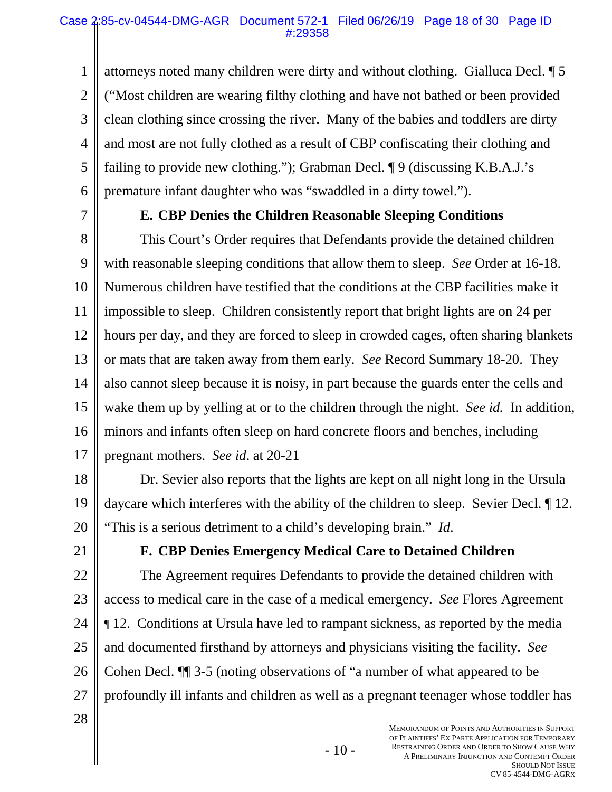1 2 3 4 5 6 attorneys noted many children were dirty and without clothing. Gialluca Decl. ¶ 5 ("Most children are wearing filthy clothing and have not bathed or been provided clean clothing since crossing the river. Many of the babies and toddlers are dirty and most are not fully clothed as a result of CBP confiscating their clothing and failing to provide new clothing."); Grabman Decl. ¶ 9 (discussing K.B.A.J.'s premature infant daughter who was "swaddled in a dirty towel.").

7

## **E. CBP Denies the Children Reasonable Sleeping Conditions**

8 9 10 11 12 13 14 15 16 17 This Court's Order requires that Defendants provide the detained children with reasonable sleeping conditions that allow them to sleep. *See* Order at 16-18. Numerous children have testified that the conditions at the CBP facilities make it impossible to sleep. Children consistently report that bright lights are on 24 per hours per day, and they are forced to sleep in crowded cages, often sharing blankets or mats that are taken away from them early. *See* Record Summary 18-20. They also cannot sleep because it is noisy, in part because the guards enter the cells and wake them up by yelling at or to the children through the night. *See id.* In addition, minors and infants often sleep on hard concrete floors and benches, including pregnant mothers. *See id*. at 20-21

18 19 20 Dr. Sevier also reports that the lights are kept on all night long in the Ursula daycare which interferes with the ability of the children to sleep. Sevier Decl. ¶ 12. "This is a serious detriment to a child's developing brain." *Id*.

21

## **F. CBP Denies Emergency Medical Care to Detained Children**

22 23 24 25 26 27 The Agreement requires Defendants to provide the detained children with access to medical care in the case of a medical emergency. *See* Flores Agreement ¶ 12. Conditions at Ursula have led to rampant sickness, as reported by the media and documented firsthand by attorneys and physicians visiting the facility. *See* Cohen Decl. ¶¶ 3-5 (noting observations of "a number of what appeared to be profoundly ill infants and children as well as a pregnant teenager whose toddler has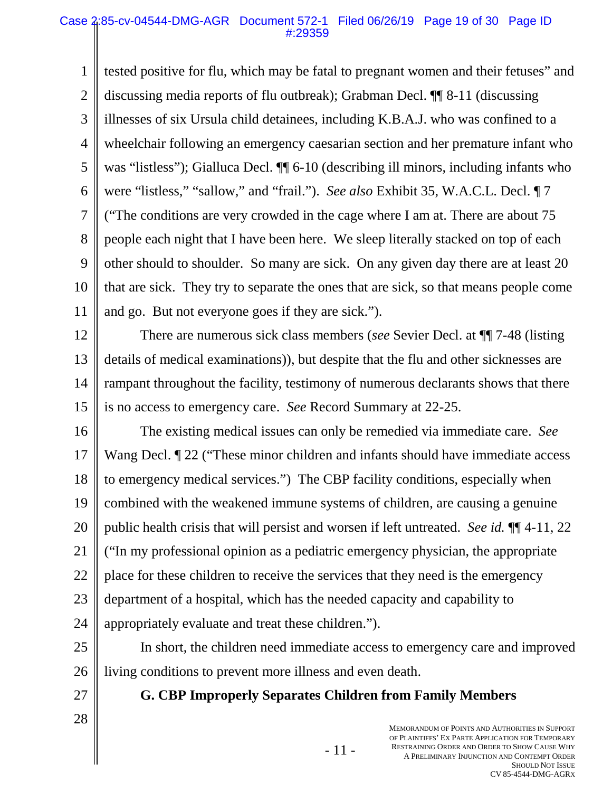1 2 3 4 5 6 7 8 9 10 11 tested positive for flu, which may be fatal to pregnant women and their fetuses" and discussing media reports of flu outbreak); Grabman Decl. ¶¶ 8-11 (discussing illnesses of six Ursula child detainees, including K.B.A.J. who was confined to a wheelchair following an emergency caesarian section and her premature infant who was "listless"); Gialluca Decl.  $\P$  6-10 (describing ill minors, including infants who were "listless," "sallow," and "frail."). *See also* Exhibit 35, W.A.C.L. Decl. ¶ 7 ("The conditions are very crowded in the cage where I am at. There are about 75 people each night that I have been here. We sleep literally stacked on top of each other should to shoulder. So many are sick. On any given day there are at least 20 that are sick. They try to separate the ones that are sick, so that means people come and go. But not everyone goes if they are sick.").

12 13 14 15 There are numerous sick class members (*see* Sevier Decl. at ¶¶ 7-48 (listing details of medical examinations)), but despite that the flu and other sicknesses are rampant throughout the facility, testimony of numerous declarants shows that there is no access to emergency care. *See* Record Summary at 22-25.

16 17 18 19 20 21 22 23 24 The existing medical issues can only be remedied via immediate care. *See* Wang Decl. <u>¶</u> 22 ("These minor children and infants should have immediate access to emergency medical services.") The CBP facility conditions, especially when combined with the weakened immune systems of children, are causing a genuine public health crisis that will persist and worsen if left untreated. *See id.* ¶¶ 4-11, 22 ("In my professional opinion as a pediatric emergency physician, the appropriate place for these children to receive the services that they need is the emergency department of a hospital, which has the needed capacity and capability to appropriately evaluate and treat these children.").

25 26 In short, the children need immediate access to emergency care and improved living conditions to prevent more illness and even death.

27 28 **G. CBP Improperly Separates Children from Family Members** 

- 11 -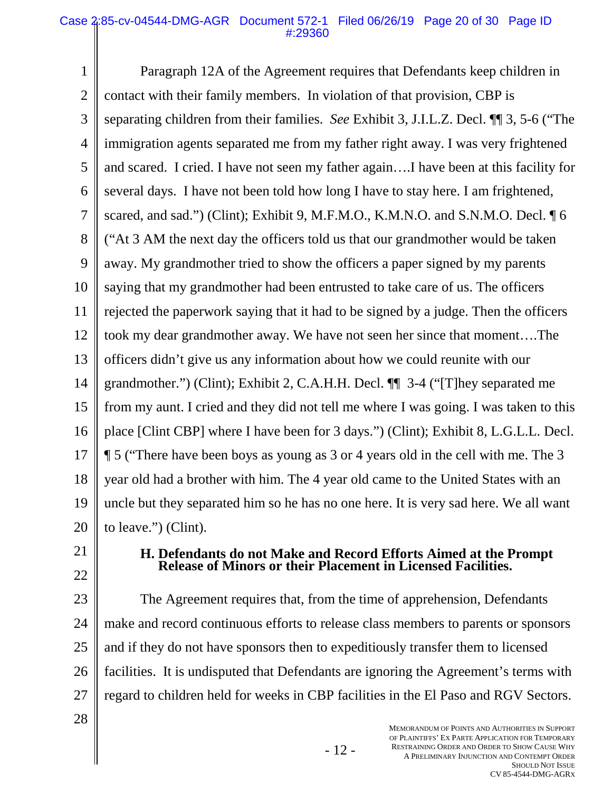#### Case 2:85-cv-04544-DMG-AGR Document 572-1 Filed 06/26/19 Page 20 of 30 Page ID #:29360

1 2 3 4 5 6 7 8 9 10 11 12 13 14 15 16 17 18 19 20 Paragraph 12A of the Agreement requires that Defendants keep children in contact with their family members. In violation of that provision, CBP is separating children from their families. *See* Exhibit 3, J.I.L.Z. Decl. ¶¶ 3, 5-6 ("The immigration agents separated me from my father right away. I was very frightened and scared. I cried. I have not seen my father again….I have been at this facility for several days. I have not been told how long I have to stay here. I am frightened, scared, and sad.") (Clint); Exhibit 9, M.F.M.O., K.M.N.O. and S.N.M.O. Decl. ¶ 6 ("At 3 AM the next day the officers told us that our grandmother would be taken away. My grandmother tried to show the officers a paper signed by my parents saying that my grandmother had been entrusted to take care of us. The officers rejected the paperwork saying that it had to be signed by a judge. Then the officers took my dear grandmother away. We have not seen her since that moment….The officers didn't give us any information about how we could reunite with our grandmother.") (Clint); Exhibit 2, C.A.H.H. Decl. ¶¶ 3-4 ("[T]hey separated me from my aunt. I cried and they did not tell me where I was going. I was taken to this place [Clint CBP] where I have been for 3 days.") (Clint); Exhibit 8, L.G.L.L. Decl. ¶ 5 ("There have been boys as young as 3 or 4 years old in the cell with me. The 3 year old had a brother with him. The 4 year old came to the United States with an uncle but they separated him so he has no one here. It is very sad here. We all want to leave.") (Clint).

- 21
- 22
- 

### **H. Defendants do not Make and Record Efforts Aimed at the Prompt Release of Minors or their Placement in Licensed Facilities.**

23 24 25 26 27 The Agreement requires that, from the time of apprehension, Defendants make and record continuous efforts to release class members to parents or sponsors and if they do not have sponsors then to expeditiously transfer them to licensed facilities. It is undisputed that Defendants are ignoring the Agreement's terms with regard to children held for weeks in CBP facilities in the El Paso and RGV Sectors.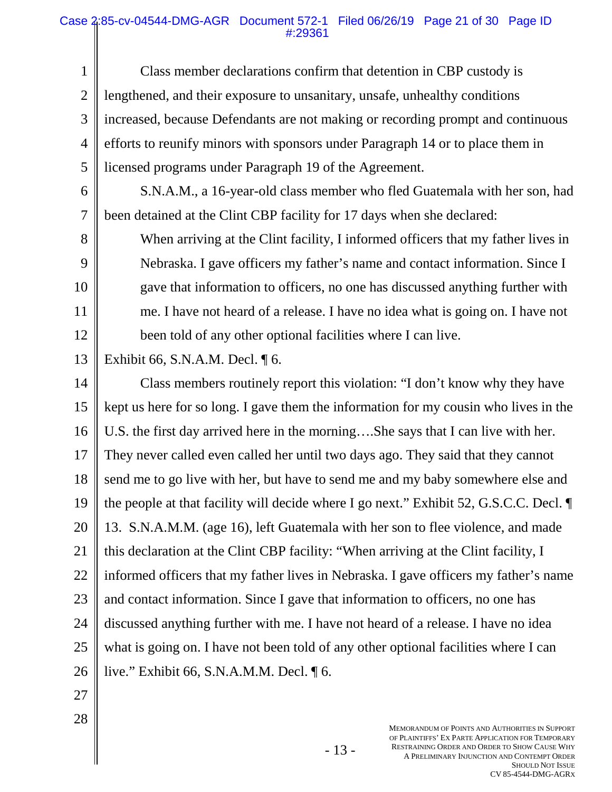#### Case 2:85-cv-04544-DMG-AGR Document 572-1 Filed 06/26/19 Page 21 of 30 Page ID #:29361

1 2 3 4 5 Class member declarations confirm that detention in CBP custody is lengthened, and their exposure to unsanitary, unsafe, unhealthy conditions increased, because Defendants are not making or recording prompt and continuous efforts to reunify minors with sponsors under Paragraph 14 or to place them in licensed programs under Paragraph 19 of the Agreement.

6 S.N.A.M., a 16-year-old class member who fled Guatemala with her son, had been detained at the Clint CBP facility for 17 days when she declared:

When arriving at the Clint facility, I informed officers that my father lives in Nebraska. I gave officers my father's name and contact information. Since I gave that information to officers, no one has discussed anything further with me. I have not heard of a release. I have no idea what is going on. I have not been told of any other optional facilities where I can live.

13 Exhibit 66, S.N.A.M. Decl. ¶ 6.

14 15 16 17 18 19 20 21 22 23 24 25 26 Class members routinely report this violation: "I don't know why they have kept us here for so long. I gave them the information for my cousin who lives in the U.S. the first day arrived here in the morning….She says that I can live with her. They never called even called her until two days ago. They said that they cannot send me to go live with her, but have to send me and my baby somewhere else and the people at that facility will decide where I go next." Exhibit 52, G.S.C.C. Decl. ¶ 13. S.N.A.M.M. (age 16), left Guatemala with her son to flee violence, and made this declaration at the Clint CBP facility: "When arriving at the Clint facility, I informed officers that my father lives in Nebraska. I gave officers my father's name and contact information. Since I gave that information to officers, no one has discussed anything further with me. I have not heard of a release. I have no idea what is going on. I have not been told of any other optional facilities where I can live." Exhibit 66, S.N.A.M.M. Decl. ¶ 6.

27

7

8

9

10

11

12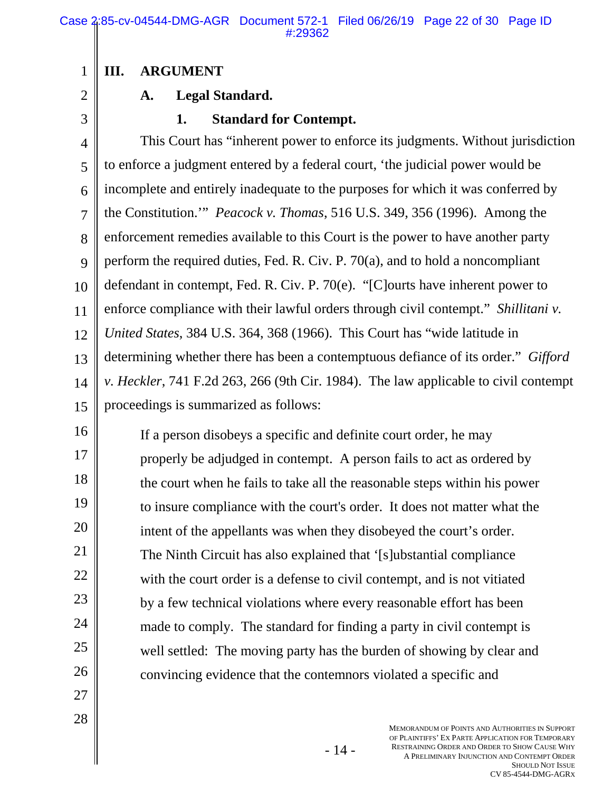## **III. ARGUMENT**

2

3

1

## **A. Legal Standard.**

### **1. Standard for Contempt.**

4 5 6 7 8 9 10 11 12 13 14 15 This Court has "inherent power to enforce its judgments. Without jurisdiction to enforce a judgment entered by a federal court, 'the judicial power would be incomplete and entirely inadequate to the purposes for which it was conferred by the Constitution.'" *Peacock v. Thomas*, 516 U.S. 349, 356 (1996). Among the enforcement remedies available to this Court is the power to have another party perform the required duties, Fed. R. Civ. P. 70(a), and to hold a noncompliant defendant in contempt, Fed. R. Civ. P. 70(e). "[C]ourts have inherent power to enforce compliance with their lawful orders through civil contempt." *Shillitani v. United States*, 384 U.S. 364, 368 (1966). This Court has "wide latitude in determining whether there has been a contemptuous defiance of its order." *Gifford v. Heckler*, 741 F.2d 263, 266 (9th Cir. 1984). The law applicable to civil contempt proceedings is summarized as follows:

16 17 18 19 20 21 22 23 24 25 26 If a person disobeys a specific and definite court order, he may properly be adjudged in contempt. A person fails to act as ordered by the court when he fails to take all the reasonable steps within his power to insure compliance with the court's order. It does not matter what the intent of the appellants was when they disobeyed the court's order. The Ninth Circuit has also explained that '[s]ubstantial compliance with the court order is a defense to civil contempt, and is not vitiated by a few technical violations where every reasonable effort has been made to comply. The standard for finding a party in civil contempt is well settled: The moving party has the burden of showing by clear and convincing evidence that the contemnors violated a specific and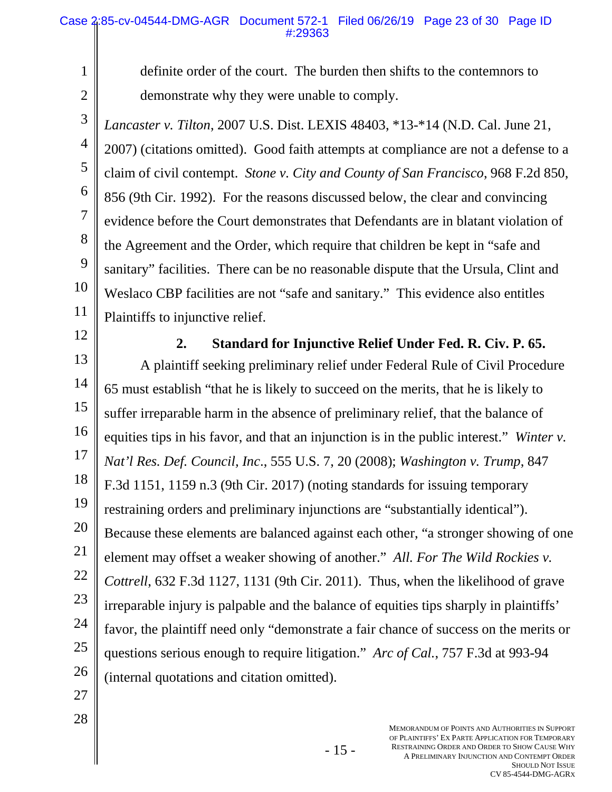2 3

12

13

14

15

16

17

18

19

20

21

22

23

24

25

26

1

definite order of the court. The burden then shifts to the contemnors to demonstrate why they were unable to comply.

4 5 6 7 8 9 10 11 *Lancaster v. Tilton*, 2007 U.S. Dist. LEXIS 48403, \*13-\*14 (N.D. Cal. June 21, 2007) (citations omitted). Good faith attempts at compliance are not a defense to a claim of civil contempt. *Stone v. City and County of San Francisco*, 968 F.2d 850, 856 (9th Cir. 1992). For the reasons discussed below, the clear and convincing evidence before the Court demonstrates that Defendants are in blatant violation of the Agreement and the Order, which require that children be kept in "safe and sanitary" facilities. There can be no reasonable dispute that the Ursula, Clint and Weslaco CBP facilities are not "safe and sanitary." This evidence also entitles Plaintiffs to injunctive relief.

**2. Standard for Injunctive Relief Under Fed. R. Civ. P. 65.**  A plaintiff seeking preliminary relief under Federal Rule of Civil Procedure 65 must establish "that he is likely to succeed on the merits, that he is likely to suffer irreparable harm in the absence of preliminary relief, that the balance of equities tips in his favor, and that an injunction is in the public interest." *Winter v. Nat'l Res. Def. Council, Inc*., 555 U.S. 7, 20 (2008); *Washington v. Trump*, 847 F.3d 1151, 1159 n.3 (9th Cir. 2017) (noting standards for issuing temporary restraining orders and preliminary injunctions are "substantially identical"). Because these elements are balanced against each other, "a stronger showing of one element may offset a weaker showing of another." *All. For The Wild Rockies v. Cottrell*, 632 F.3d 1127, 1131 (9th Cir. 2011). Thus, when the likelihood of grave irreparable injury is palpable and the balance of equities tips sharply in plaintiffs' favor, the plaintiff need only "demonstrate a fair chance of success on the merits or questions serious enough to require litigation." *Arc of Cal.*, 757 F.3d at 993-94 (internal quotations and citation omitted).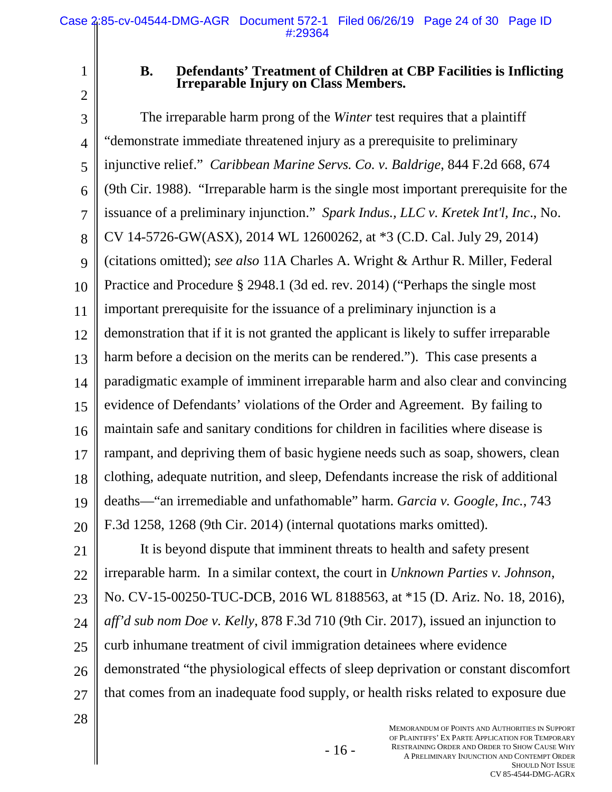2

1

### **B. Defendants' Treatment of Children at CBP Facilities is Inflicting Irreparable Injury on Class Members.**

3 4 5 6 7 8 9 10 11 12 13 14 15 16 17 18 19 20 The irreparable harm prong of the *Winter* test requires that a plaintiff "demonstrate immediate threatened injury as a prerequisite to preliminary injunctive relief." *Caribbean Marine Servs. Co. v. Baldrige*, 844 F.2d 668, 674 (9th Cir. 1988). "Irreparable harm is the single most important prerequisite for the issuance of a preliminary injunction." *Spark Indus., LLC v. Kretek Int'l, Inc*., No. CV 14-5726-GW(ASX), 2014 WL 12600262, at \*3 (C.D. Cal. July 29, 2014) (citations omitted); *see also* 11A Charles A. Wright & Arthur R. Miller, Federal Practice and Procedure § 2948.1 (3d ed. rev. 2014) ("Perhaps the single most important prerequisite for the issuance of a preliminary injunction is a demonstration that if it is not granted the applicant is likely to suffer irreparable harm before a decision on the merits can be rendered."). This case presents a paradigmatic example of imminent irreparable harm and also clear and convincing evidence of Defendants' violations of the Order and Agreement. By failing to maintain safe and sanitary conditions for children in facilities where disease is rampant, and depriving them of basic hygiene needs such as soap, showers, clean clothing, adequate nutrition, and sleep, Defendants increase the risk of additional deaths—"an irremediable and unfathomable" harm. *Garcia v. Google, Inc.*, 743 F.3d 1258, 1268 (9th Cir. 2014) (internal quotations marks omitted).

21 22 23 24 25 26 27 It is beyond dispute that imminent threats to health and safety present irreparable harm. In a similar context, the court in *Unknown Parties v. Johnson*, No. CV-15-00250-TUC-DCB, 2016 WL 8188563, at \*15 (D. Ariz. No. 18, 2016), *aff'd sub nom Doe v. Kelly*, 878 F.3d 710 (9th Cir. 2017), issued an injunction to curb inhumane treatment of civil immigration detainees where evidence demonstrated "the physiological effects of sleep deprivation or constant discomfort that comes from an inadequate food supply, or health risks related to exposure due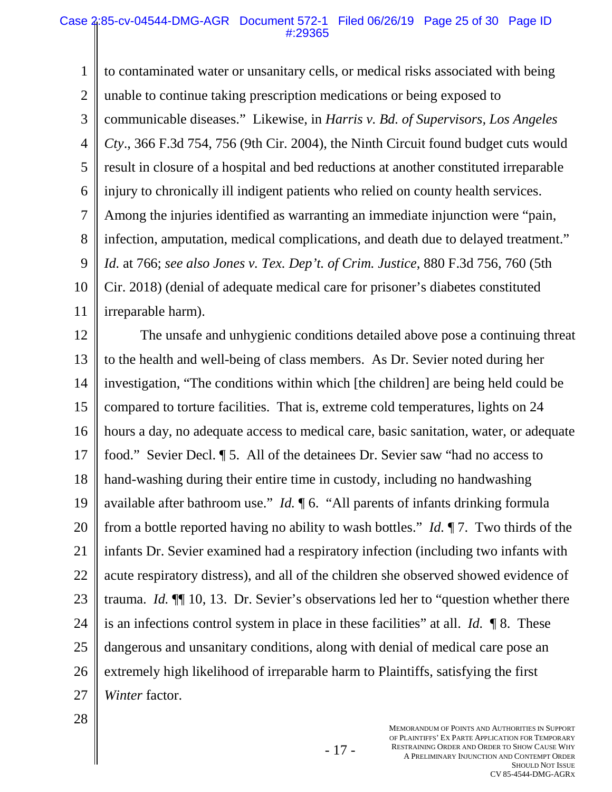1 2 3 4 5 6 7 8 9 10 11 to contaminated water or unsanitary cells, or medical risks associated with being unable to continue taking prescription medications or being exposed to communicable diseases." Likewise, in *Harris v. Bd. of Supervisors, Los Angeles Cty*., 366 F.3d 754, 756 (9th Cir. 2004), the Ninth Circuit found budget cuts would result in closure of a hospital and bed reductions at another constituted irreparable injury to chronically ill indigent patients who relied on county health services. Among the injuries identified as warranting an immediate injunction were "pain, infection, amputation, medical complications, and death due to delayed treatment." *Id.* at 766; *see also Jones v. Tex. Dep't. of Crim. Justice*, 880 F.3d 756, 760 (5th Cir. 2018) (denial of adequate medical care for prisoner's diabetes constituted irreparable harm).

12 13 14 15 16 17 18 19 20 21 22 23 24 25 26 27 The unsafe and unhygienic conditions detailed above pose a continuing threat to the health and well-being of class members. As Dr. Sevier noted during her investigation, "The conditions within which [the children] are being held could be compared to torture facilities. That is, extreme cold temperatures, lights on 24 hours a day, no adequate access to medical care, basic sanitation, water, or adequate food." Sevier Decl. ¶ 5. All of the detainees Dr. Sevier saw "had no access to hand-washing during their entire time in custody, including no handwashing available after bathroom use." *Id.*  $\P$  6. "All parents of infants drinking formula from a bottle reported having no ability to wash bottles." *Id.* ¶ 7. Two thirds of the infants Dr. Sevier examined had a respiratory infection (including two infants with acute respiratory distress), and all of the children she observed showed evidence of trauma. *Id.* ¶¶ 10, 13. Dr. Sevier's observations led her to "question whether there is an infections control system in place in these facilities" at all. *Id.* ¶ 8. These dangerous and unsanitary conditions, along with denial of medical care pose an extremely high likelihood of irreparable harm to Plaintiffs, satisfying the first *Winter* factor.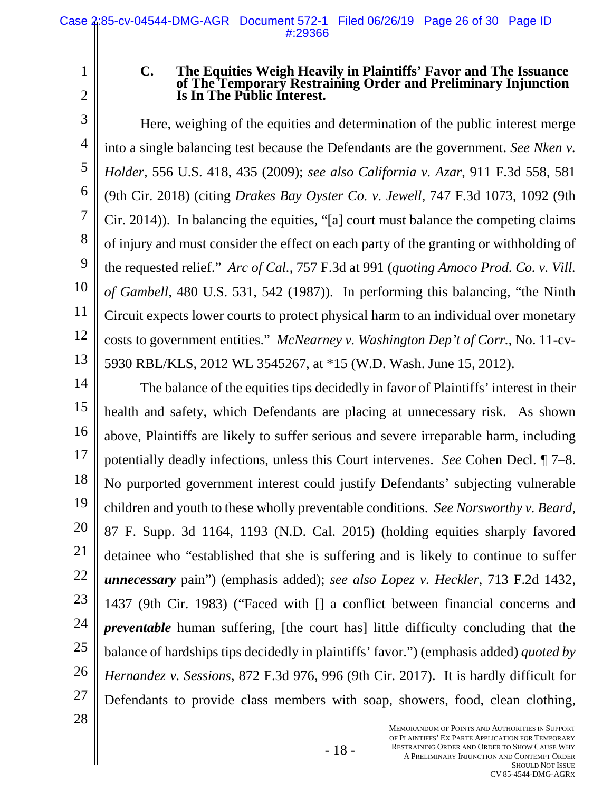2

1

#### **C. The Equities Weigh Heavily in Plaintiffs' Favor and The Issuance of The Temporary Restraining Order and Preliminary Injunction Is In The Public Interest.**

3 4 5 6 7 8 9 10 11 12 13 Here, weighing of the equities and determination of the public interest merge into a single balancing test because the Defendants are the government. *See Nken v. Holder*, 556 U.S. 418, 435 (2009); *see also California v. Azar*, 911 F.3d 558, 581 (9th Cir. 2018) (citing *Drakes Bay Oyster Co. v. Jewell*, 747 F.3d 1073, 1092 (9th Cir. 2014)). In balancing the equities, "[a] court must balance the competing claims of injury and must consider the effect on each party of the granting or withholding of the requested relief." *Arc of Cal.*, 757 F.3d at 991 (*quoting Amoco Prod. Co. v. Vill. of Gambell*, 480 U.S. 531, 542 (1987)). In performing this balancing, "the Ninth Circuit expects lower courts to protect physical harm to an individual over monetary costs to government entities." *McNearney v. Washington Dep't of Corr.*, No. 11-cv-5930 RBL/KLS, 2012 WL 3545267, at \*15 (W.D. Wash. June 15, 2012).

14 15 16 17 18 19 20 21 22 23 24 25 26 27 The balance of the equities tips decidedly in favor of Plaintiffs' interest in their health and safety, which Defendants are placing at unnecessary risk. As shown above, Plaintiffs are likely to suffer serious and severe irreparable harm, including potentially deadly infections, unless this Court intervenes. *See* Cohen Decl. ¶ 7–8. No purported government interest could justify Defendants' subjecting vulnerable children and youth to these wholly preventable conditions. *See Norsworthy v. Beard*, 87 F. Supp. 3d 1164, 1193 (N.D. Cal. 2015) (holding equities sharply favored detainee who "established that she is suffering and is likely to continue to suffer *unnecessary* pain") (emphasis added); *see also Lopez v. Heckler*, 713 F.2d 1432, 1437 (9th Cir. 1983) ("Faced with [] a conflict between financial concerns and *preventable* human suffering, [the court has] little difficulty concluding that the balance of hardships tips decidedly in plaintiffs' favor.") (emphasis added) *quoted by Hernandez v. Sessions*, 872 F.3d 976, 996 (9th Cir. 2017). It is hardly difficult for Defendants to provide class members with soap, showers, food, clean clothing,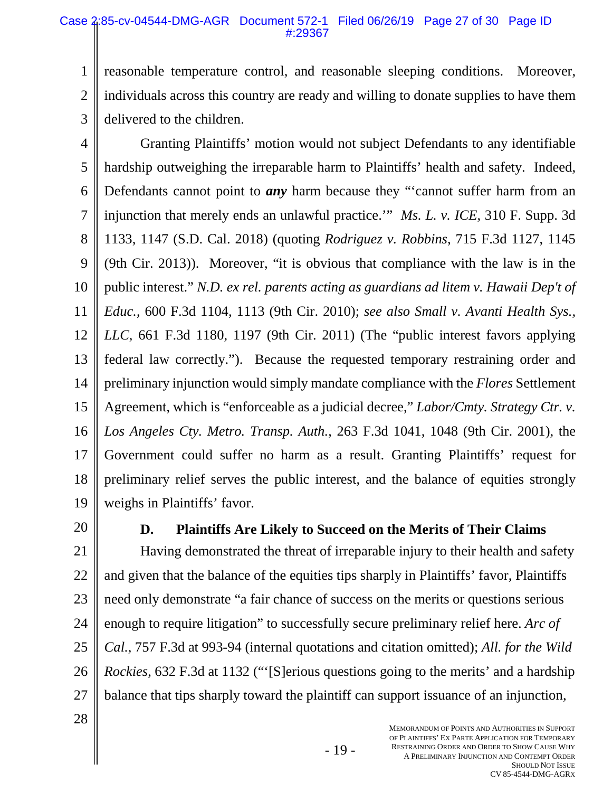1 2 reasonable temperature control, and reasonable sleeping conditions. Moreover, individuals across this country are ready and willing to donate supplies to have them delivered to the children.

3

4 5 6 7 8 9 10 11 12 13 14 15 16 17 18 19 Granting Plaintiffs' motion would not subject Defendants to any identifiable hardship outweighing the irreparable harm to Plaintiffs' health and safety. Indeed, Defendants cannot point to *any* harm because they "'cannot suffer harm from an injunction that merely ends an unlawful practice.'" *Ms. L. v. ICE*, 310 F. Supp. 3d 1133, 1147 (S.D. Cal. 2018) (quoting *Rodriguez v. Robbins*, 715 F.3d 1127, 1145 (9th Cir. 2013)). Moreover, "it is obvious that compliance with the law is in the public interest." *N.D. ex rel. parents acting as guardians ad litem v. Hawaii Dep't of Educ.*, 600 F.3d 1104, 1113 (9th Cir. 2010); *see also Small v. Avanti Health Sys., LLC*, 661 F.3d 1180, 1197 (9th Cir. 2011) (The "public interest favors applying federal law correctly."). Because the requested temporary restraining order and preliminary injunction would simply mandate compliance with the *Flores* Settlement Agreement, which is "enforceable as a judicial decree," *Labor/Cmty. Strategy Ctr. v. Los Angeles Cty. Metro. Transp. Auth.*, 263 F.3d 1041, 1048 (9th Cir. 2001), the Government could suffer no harm as a result. Granting Plaintiffs' request for preliminary relief serves the public interest, and the balance of equities strongly weighs in Plaintiffs' favor.

20

## **D. Plaintiffs Are Likely to Succeed on the Merits of Their Claims**

21 22 23 24 25 26 27 Having demonstrated the threat of irreparable injury to their health and safety and given that the balance of the equities tips sharply in Plaintiffs' favor, Plaintiffs need only demonstrate "a fair chance of success on the merits or questions serious enough to require litigation" to successfully secure preliminary relief here. *Arc of Cal.*, 757 F.3d at 993-94 (internal quotations and citation omitted); *All. for the Wild Rockies*, 632 F.3d at 1132 ("'[S]erious questions going to the merits' and a hardship balance that tips sharply toward the plaintiff can support issuance of an injunction,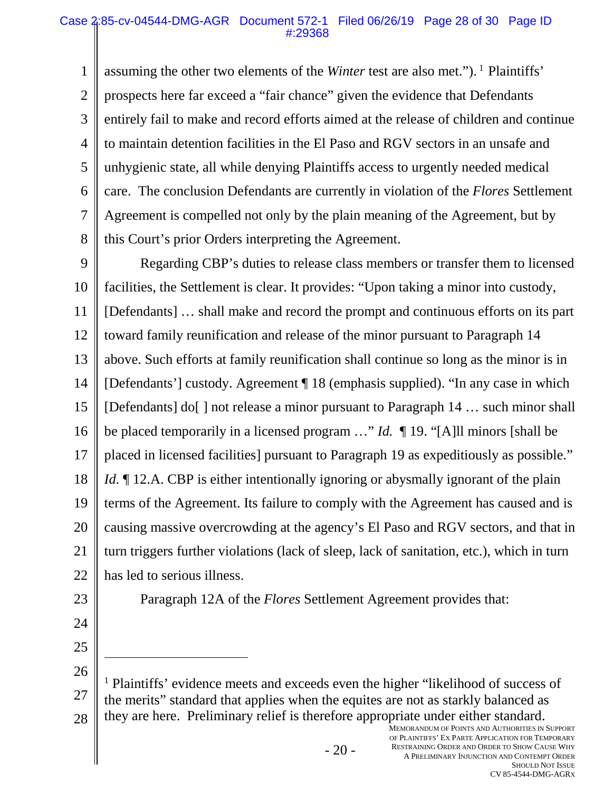1 2 3 4 5 6 7 8 assuming the other two elements of the *Winter* test are also met.").<sup>1</sup> Plaintiffs' prospects here far exceed a "fair chance" given the evidence that Defendants entirely fail to make and record efforts aimed at the release of children and continue to maintain detention facilities in the El Paso and RGV sectors in an unsafe and unhygienic state, all while denying Plaintiffs access to urgently needed medical care. The conclusion Defendants are currently in violation of the *Flores* Settlement Agreement is compelled not only by the plain meaning of the Agreement, but by this Court's prior Orders interpreting the Agreement.

9 10 11 12 13 14 15 16 17 18 19 20 21 22 Regarding CBP's duties to release class members or transfer them to licensed facilities, the Settlement is clear. It provides: "Upon taking a minor into custody, [Defendants] … shall make and record the prompt and continuous efforts on its part toward family reunification and release of the minor pursuant to Paragraph 14 above. Such efforts at family reunification shall continue so long as the minor is in [Defendants'] custody. Agreement ¶ 18 (emphasis supplied). "In any case in which [Defendants] do[ ] not release a minor pursuant to Paragraph 14 … such minor shall be placed temporarily in a licensed program …" *Id.* ¶ 19. "[A]ll minors [shall be placed in licensed facilities] pursuant to Paragraph 19 as expeditiously as possible." *Id.* If 12.A. CBP is either intentionally ignoring or abysmally ignorant of the plain terms of the Agreement. Its failure to comply with the Agreement has caused and is causing massive overcrowding at the agency's El Paso and RGV sectors, and that in turn triggers further violations (lack of sleep, lack of sanitation, etc.), which in turn has led to serious illness.

23

24

25

 $\overline{a}$ 

Paragraph 12A of the *Flores* Settlement Agreement provides that:

26 27 28 <sup>1</sup> Plaintiffs' evidence meets and exceeds even the higher "likelihood of success of the merits" standard that applies when the equites are not as starkly balanced as they are here. Preliminary relief is therefore appropriate under either standard.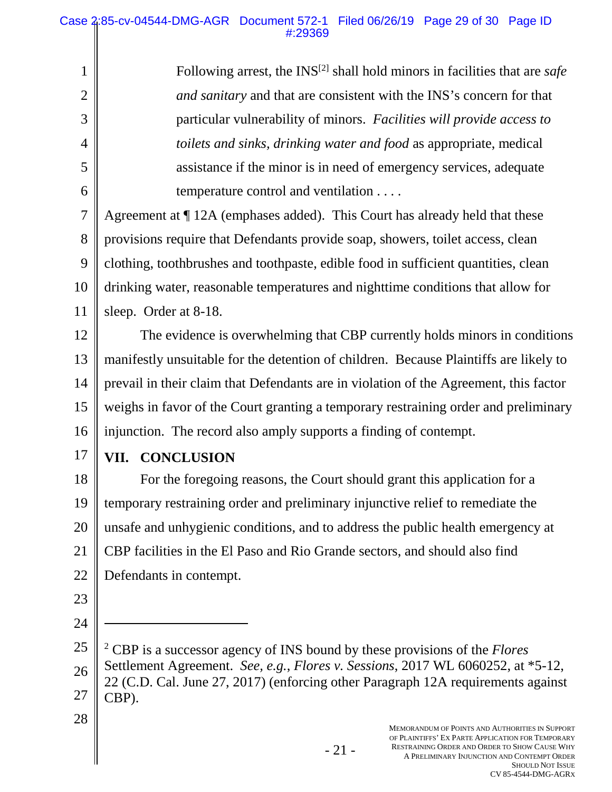Following arrest, the INS[2] shall hold minors in facilities that are *safe and sanitary* and that are consistent with the INS's concern for that particular vulnerability of minors. *Facilities will provide access to toilets and sinks, drinking water and food* as appropriate, medical assistance if the minor is in need of emergency services, adequate temperature control and ventilation . . . .

7 8 9 10 11 Agreement at ¶ 12A (emphases added). This Court has already held that these provisions require that Defendants provide soap, showers, toilet access, clean clothing, toothbrushes and toothpaste, edible food in sufficient quantities, clean drinking water, reasonable temperatures and nighttime conditions that allow for sleep. Order at 8-18.

12 13 14 15 16 The evidence is overwhelming that CBP currently holds minors in conditions manifestly unsuitable for the detention of children. Because Plaintiffs are likely to prevail in their claim that Defendants are in violation of the Agreement, this factor weighs in favor of the Court granting a temporary restraining order and preliminary injunction. The record also amply supports a finding of contempt.

17

1

2

3

4

5

6

## **VII. CONCLUSION**

18 19 20 21 22 For the foregoing reasons, the Court should grant this application for a temporary restraining order and preliminary injunctive relief to remediate the unsafe and unhygienic conditions, and to address the public health emergency at CBP facilities in the El Paso and Rio Grande sectors, and should also find Defendants in contempt.

- 23
- 24

 $\overline{a}$ 

25 26 27 2 CBP is a successor agency of INS bound by these provisions of the *Flores* Settlement Agreement. *See, e.g.*, *Flores v. Sessions*, 2017 WL 6060252, at \*5-12, 22 (C.D. Cal. June 27, 2017) (enforcing other Paragraph 12A requirements against CBP).